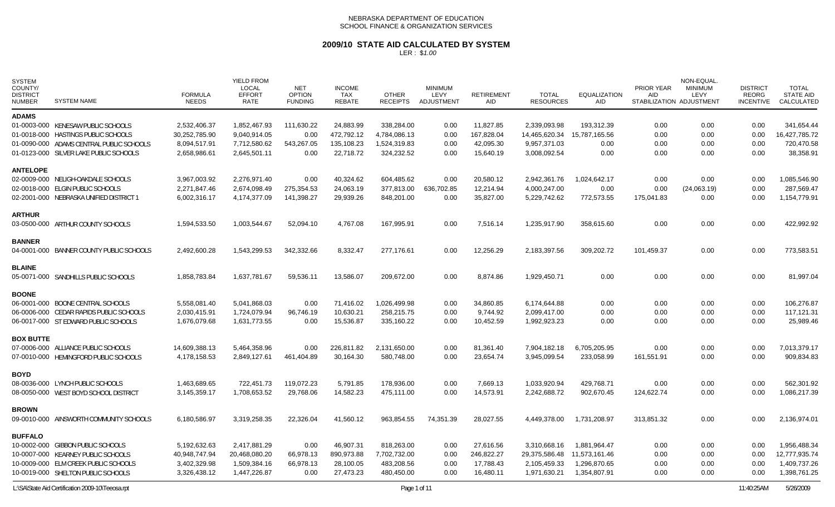### **2009/10 STATE AID CALCULATED BY SYSTEM**

| <b>SYSTEM</b><br>COUNTY/<br><b>DISTRICT</b><br><b>NUMBER</b> | <b>SYSTEM NAME</b>                       | <b>FORMULA</b><br><b>NEEDS</b> | <b>YIELD FROM</b><br>LOCAL<br><b>EFFORT</b><br>RATE | <b>NET</b><br><b>OPTION</b><br><b>FUNDING</b> | <b>INCOME</b><br>TAX<br>REBATE | <b>OTHER</b><br><b>RECEIPTS</b> | <b>MINIMUM</b><br>LEVY<br>ADJUSTMENT | <b>RETIREMENT</b><br>AID | <b>TOTAL</b><br><b>RESOURCES</b> | <b>EQUALIZATION</b><br>AID | PRIOR YEAR<br>AID. | NON-EQUAL<br><b>MINIMUM</b><br>LEVY<br>STABILIZATION ADJUSTMENT | <b>DISTRICT</b><br><b>REORG</b><br><b>INCENTIVE</b> | <b>TOTAL</b><br><b>STATE AID</b><br>CALCULATED |
|--------------------------------------------------------------|------------------------------------------|--------------------------------|-----------------------------------------------------|-----------------------------------------------|--------------------------------|---------------------------------|--------------------------------------|--------------------------|----------------------------------|----------------------------|--------------------|-----------------------------------------------------------------|-----------------------------------------------------|------------------------------------------------|
| <b>ADAMS</b>                                                 |                                          |                                |                                                     |                                               |                                |                                 |                                      |                          |                                  |                            |                    |                                                                 |                                                     |                                                |
|                                                              | 01-0003-000 KENESAW PUBLIC SCHOOLS       | 2,532,406.37                   | 1,852,467.93                                        | 111,630.22                                    | 24,883.99                      | 338,284.00                      | 0.00                                 | 11.827.85                | 2,339,093.98                     | 193.312.39                 | 0.00               | 0.00                                                            | 0.00                                                | 341.654.44                                     |
|                                                              | 01-0018-000 HASTINGS PUBLIC SCHOOLS      | 30,252,785.90                  | 9,040,914.05                                        | 0.00                                          | 472,792.12                     | 4,784,086.13                    | 0.00                                 | 167,828.04               | 14,465,620.34                    | 15,787,165.56              | 0.00               | 0.00                                                            | 0.00                                                | 16,427,785.72                                  |
|                                                              | 01-0090-000 ADAMS CENTRAL PUBLIC SCHOOLS | 8,094,517.91                   | 7,712,580.62                                        | 543,267.05                                    | 135,108.23                     | 1,524,319.83                    | 0.00                                 | 42,095.30                | 9,957,371.03                     | 0.00                       | 0.00               | 0.00                                                            | 0.00                                                | 720,470.58                                     |
|                                                              | 01-0123-000 SILVER LAKE PUBLIC SCHOOLS   | 2,658,986.61                   | 2,645,501.11                                        | 0.00                                          | 22,718.72                      | 324,232.52                      | 0.00                                 | 15,640.19                | 3,008,092.54                     | 0.00                       | 0.00               | 0.00                                                            | 0.00                                                | 38,358.91                                      |
| <b>ANTELOPE</b>                                              |                                          |                                |                                                     |                                               |                                |                                 |                                      |                          |                                  |                            |                    |                                                                 |                                                     |                                                |
|                                                              | 02-0009-000 NELIGH-OAKDALE SCHOOLS       | 3,967,003.92                   | 2,276,971.40                                        | 0.00                                          | 40,324.62                      | 604,485.62                      | 0.00                                 | 20,580.12                | 2,942,361.76                     | 1,024,642.17               | 0.00               | 0.00                                                            | 0.00                                                | 1,085,546.90                                   |
|                                                              | 02-0018-000 ELGIN PUBLIC SCHOOLS         | 2,271,847.46                   | 2,674,098.49                                        | 275,354.53                                    | 24,063.19                      | 377,813.00                      | 636,702.85                           | 12,214.94                | 4,000,247.00                     | 0.00                       | 0.00               | (24,063.19)                                                     | 0.00                                                | 287,569.47                                     |
|                                                              | 02-2001-000 NEBRASKA UNIFIED DISTRICT 1  | 6,002,316.17                   | 4,174,377.09                                        | 141,398.27                                    | 29,939.26                      | 848,201.00                      | 0.00                                 | 35,827.00                | 5,229,742.62                     | 772,573.55                 | 175,041.83         | 0.00                                                            | 0.00                                                | 1,154,779.91                                   |
| <b>ARTHUR</b>                                                |                                          |                                |                                                     |                                               |                                |                                 |                                      |                          |                                  |                            |                    |                                                                 |                                                     |                                                |
|                                                              | 03-0500-000 ARTHUR COUNTY SCHOOLS        | 1,594,533.50                   | 1,003,544.67                                        | 52,094.10                                     | 4,767.08                       | 167,995.91                      | 0.00                                 | 7,516.14                 | 1,235,917.90                     | 358,615.60                 | 0.00               | 0.00                                                            | 0.00                                                | 422,992.92                                     |
| <b>BANNER</b>                                                |                                          |                                |                                                     |                                               |                                |                                 |                                      |                          |                                  |                            |                    |                                                                 |                                                     |                                                |
|                                                              | 04-0001-000 BANNER COUNTY PUBLIC SCHOOLS | 2,492,600.28                   | 1,543,299.53                                        | 342,332.66                                    | 8,332.47                       | 277,176.61                      | 0.00                                 | 12,256.29                | 2,183,397.56                     | 309,202.72                 | 101,459.37         | 0.00                                                            | 0.00                                                | 773,583.51                                     |
| <b>BLAINE</b>                                                |                                          |                                |                                                     |                                               |                                |                                 |                                      |                          |                                  |                            |                    |                                                                 |                                                     |                                                |
|                                                              | 05-0071-000 SANDHILLS PUBLIC SCHOOLS     | 1,858,783.84                   | 1,637,781.67                                        | 59,536.11                                     | 13,586.07                      | 209,672.00                      | 0.00                                 | 8,874.86                 | 1,929,450.71                     | 0.00                       | 0.00               | 0.00                                                            | 0.00                                                | 81,997.04                                      |
| <b>BOONE</b>                                                 |                                          |                                |                                                     |                                               |                                |                                 |                                      |                          |                                  |                            |                    |                                                                 |                                                     |                                                |
|                                                              | 06-0001-000 BOONE CENTRAL SCHOOLS        | 5,558,081.40                   | 5,041,868.03                                        | 0.00                                          | 71,416.02                      | 1,026,499.98                    | 0.00                                 | 34,860.85                | 6,174,644.88                     | 0.00                       | 0.00               | 0.00                                                            | 0.00                                                | 106,276.87                                     |
|                                                              | 06-0006-000 CEDAR RAPIDS PUBLIC SCHOOLS  | 2,030,415.91                   | 1,724,079.94                                        | 96,746.19                                     | 10,630.21                      | 258,215.75                      | 0.00                                 | 9,744.92                 | 2,099,417.00                     | 0.00                       | 0.00               | 0.00                                                            | 0.00                                                | 117,121.31                                     |
|                                                              | 06-0017-000 ST EDWARD PUBLIC SCHOOLS     | 1,676,079.68                   | 1,631,773.55                                        | 0.00                                          | 15,536.87                      | 335,160.22                      | 0.00                                 | 10,452.59                | 1,992,923.23                     | 0.00                       | 0.00               | 0.00                                                            | 0.00                                                | 25,989.46                                      |
| <b>BOX BUTTE</b>                                             |                                          |                                |                                                     |                                               |                                |                                 |                                      |                          |                                  |                            |                    |                                                                 |                                                     |                                                |
|                                                              | 07-0006-000 ALLIANCE PUBLIC SCHOOLS      | 14,609,388.13                  | 5,464,358.96                                        | 0.00                                          | 226,811.82                     | 2,131,650.00                    | 0.00                                 | 81,361.40                | 7,904,182.18                     | 6,705,205.95               | 0.00               | 0.00                                                            | 0.00                                                | 7,013,379.17                                   |
|                                                              | 07-0010-000 HEMINGFORD PUBLIC SCHOOLS    | 4,178,158.53                   | 2,849,127.61                                        | 461,404.89                                    | 30,164.30                      | 580,748.00                      | 0.00                                 | 23,654.74                | 3,945,099.54                     | 233,058.99                 | 161,551.91         | 0.00                                                            | 0.00                                                | 909,834.83                                     |
| <b>BOYD</b>                                                  |                                          |                                |                                                     |                                               |                                |                                 |                                      |                          |                                  |                            |                    |                                                                 |                                                     |                                                |
|                                                              | 08-0036-000 LYNCH PUBLIC SCHOOLS         | 1,463,689.65                   | 722,451.73                                          | 119,072.23                                    | 5,791.85                       | 178,936.00                      | 0.00                                 | 7,669.13                 | 1,033,920.94                     | 429,768.71                 | 0.00               | 0.00                                                            | 0.00                                                | 562,301.92                                     |
|                                                              | 08-0050-000 WEST BOYD SCHOOL DISTRICT    | 3,145,359.17                   | 1,708,653.52                                        | 29,768.06                                     | 14,582.23                      | 475,111.00                      | 0.00                                 | 14,573.91                | 2,242,688.72                     | 902,670.45                 | 124,622.74         | 0.00                                                            | 0.00                                                | 1,086,217.39                                   |
| <b>BROWN</b>                                                 |                                          |                                |                                                     |                                               |                                |                                 |                                      |                          |                                  |                            |                    |                                                                 |                                                     |                                                |
|                                                              | 09-0010-000 AINSWORTH COMMUNITY SCHOOLS  | 6,180,586.97                   | 3,319,258.35                                        | 22,326.04                                     | 41,560.12                      | 963,854.55                      | 74,351.39                            | 28,027.55                | 4,449,378.00                     | 1,731,208.97               | 313,851.32         | 0.00                                                            | 0.00                                                | 2,136,974.01                                   |
|                                                              |                                          |                                |                                                     |                                               |                                |                                 |                                      |                          |                                  |                            |                    |                                                                 |                                                     |                                                |
| <b>BUFFALO</b>                                               | 10-0002-000 GIBBON PUBLIC SCHOOLS        | 5,192,632.63                   | 2,417,881.29                                        | 0.00                                          | 46,907.31                      | 818,263.00                      | 0.00                                 | 27,616.56                | 3,310,668.16                     | 1,881,964.47               |                    |                                                                 |                                                     | 1,956,488.34                                   |
|                                                              | 10-0007-000 KEARNEY PUBLIC SCHOOLS       | 40,948,747.94                  | 20,468,080.20                                       | 66,978.13                                     | 890,973.88                     | 7,702,732.00                    | 0.00                                 | 246,822.27               | 29,375,586.48                    | 11,573,161.46              | 0.00<br>0.00       | 0.00<br>0.00                                                    | 0.00<br>0.00                                        | 12,777,935.74                                  |
|                                                              | 10-0009-000 ELM CREEK PUBLIC SCHOOLS     | 3,402,329.98                   | 1,509,384.16                                        | 66,978.13                                     | 28,100.05                      | 483,208.56                      | 0.00                                 | 17,788.43                | 2,105,459.33                     | 1,296,870.65               | 0.00               | 0.00                                                            | 0.00                                                | 1,409,737.26                                   |
|                                                              | 10-0019-000 SHELTON PUBLIC SCHOOLS       | 3,326,438.12                   | 1,447,226.87                                        | 0.00                                          | 27,473.23                      | 480,450.00                      | 0.00                                 | 16,480.11                | 1,971,630.21                     | 1,354,807.91               | 0.00               | 0.00                                                            | 0.00                                                | 1,398,761.25                                   |
|                                                              |                                          |                                |                                                     |                                               |                                |                                 |                                      |                          |                                  |                            |                    |                                                                 |                                                     |                                                |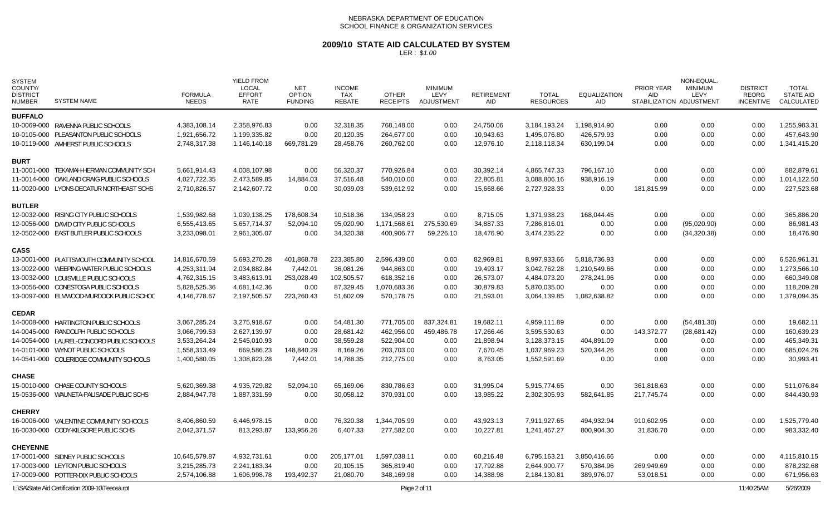# **2009/10 STATE AID CALCULATED BY SYSTEM**

| <b>SYSTEM</b><br>COUNTY/<br><b>DISTRICT</b><br><b>NUMBER</b> | <b>SYSTEM NAME</b>                               | <b>FORMULA</b><br><b>NEEDS</b> | <b>YIELD FROM</b><br><b>LOCAL</b><br><b>EFFORT</b><br>RATE | <b>NET</b><br><b>OPTION</b><br><b>FUNDING</b> | <b>INCOME</b><br>TAX<br><b>REBATE</b> | <b>OTHER</b><br><b>RECEIPTS</b> | <b>MINIMUM</b><br>LEVY<br>ADJUSTMENT | <b>RETIREMENT</b><br>AID | <b>TOTAL</b><br><b>RESOURCES</b> | <b>EQUALIZATION</b><br>AID | PRIOR YEAR<br>AID | NON-EQUAL<br><b>MINIMUM</b><br>LEVY<br>STABILIZATION ADJUSTMENT | <b>DISTRICT</b><br><b>REORG</b><br><b>INCENTIVE</b> | <b>TOTAL</b><br><b>STATE AID</b><br>CALCULATED |
|--------------------------------------------------------------|--------------------------------------------------|--------------------------------|------------------------------------------------------------|-----------------------------------------------|---------------------------------------|---------------------------------|--------------------------------------|--------------------------|----------------------------------|----------------------------|-------------------|-----------------------------------------------------------------|-----------------------------------------------------|------------------------------------------------|
| <b>BUFFALO</b>                                               |                                                  |                                |                                                            |                                               |                                       |                                 |                                      |                          |                                  |                            |                   |                                                                 |                                                     |                                                |
|                                                              | 10-0069-000 RAVENNA PUBLIC SCHOOLS               | 4,383,108.14                   | 2.358.976.83                                               | 0.00                                          | 32,318.35                             | 768,148.00                      | 0.00                                 | 24,750.06                | 3,184,193.24                     | 1,198,914.90               | 0.00              | 0.00                                                            | 0.00                                                | 1,255,983.31                                   |
|                                                              | 10-0105-000 PLEASANTON PUBLIC SCHOOLS            | 1,921,656.72                   | 1,199,335.82                                               | 0.00                                          | 20,120.35                             | 264,677.00                      | 0.00                                 | 10,943.63                | 1,495,076.80                     | 426,579.93                 | 0.00              | 0.00                                                            | 0.00                                                | 457,643.90                                     |
|                                                              | 10-0119-000 AMHERST PUBLIC SCHOOLS               | 2,748,317.38                   | 1,146,140.18                                               | 669,781.29                                    | 28,458.76                             | 260,762.00                      | 0.00                                 | 12,976.10                | 2,118,118.34                     | 630,199.04                 | 0.00              | 0.00                                                            | 0.00                                                | 1,341,415.20                                   |
| <b>BURT</b>                                                  |                                                  |                                |                                                            |                                               |                                       |                                 |                                      |                          |                                  |                            |                   |                                                                 |                                                     |                                                |
|                                                              | 11-0001-000 TEKAMAH-HERMAN COMMUNITY SCH         | 5,661,914.43                   | 4,008,107.98                                               | 0.00                                          | 56,320.37                             | 770.926.84                      | 0.00                                 | 30.392.14                | 4,865,747.33                     | 796.167.10                 | 0.00              | 0.00                                                            | 0.00                                                | 882.879.61                                     |
|                                                              | 11-0014-000 OAKLAND CRAIG PUBLIC SCHOOLS         | 4,027,722.35                   | 2,473,589.85                                               | 14,884.03                                     | 37,516.48                             | 540,010.00                      | 0.00                                 | 22,805.81                | 3,088,806.16                     | 938,916.19                 | 0.00              | 0.00                                                            | 0.00                                                | 1,014,122.50                                   |
|                                                              | 11-0020-000 LYONS-DECATUR NORTHEAST SCHS         | 2,710,826.57                   | 2,142,607.72                                               | 0.00                                          | 30,039.03                             | 539,612.92                      | 0.00                                 | 15,668.66                | 2,727,928.33                     | 0.00                       | 181,815.99        | 0.00                                                            | 0.00                                                | 227,523.68                                     |
| <b>BUTLER</b>                                                |                                                  |                                |                                                            |                                               |                                       |                                 |                                      |                          |                                  |                            |                   |                                                                 |                                                     |                                                |
|                                                              | 12-0032-000 RISING CITY PUBLIC SCHOOLS           | 1,539,982.68                   | 1,039,138.25                                               | 178,608.34                                    | 10,518.36                             | 134,958.23                      | 0.00                                 | 8,715.05                 | 1,371,938.23                     | 168,044.45                 | 0.00              | 0.00                                                            | 0.00                                                | 365,886.20                                     |
|                                                              | 12-0056-000 DAVID CITY PUBLIC SCHOOLS            | 6,555,413.65                   | 5,657,714.37                                               | 52,094.10                                     | 95,020.90                             | 1,171,568.61                    | 275,530.69                           | 34,887.33                | 7,286,816.01                     | 0.00                       | 0.00              | (95,020.90)                                                     | 0.00                                                | 86,981.43                                      |
|                                                              | 12-0502-000 EAST BUTLER PUBLIC SCHOOLS           | 3,233,098.01                   | 2,961,305.07                                               | 0.00                                          | 34,320.38                             | 400,906.77                      | 59,226.10                            | 18,476.90                | 3,474,235.22                     | 0.00                       | 0.00              | (34,320.38)                                                     | 0.00                                                | 18,476.90                                      |
| <b>CASS</b>                                                  |                                                  |                                |                                                            |                                               |                                       |                                 |                                      |                          |                                  |                            |                   |                                                                 |                                                     |                                                |
|                                                              | 13-0001-000 PLATTSMOUTH COMMUNITY SCHOOL         | 14,816,670.59                  | 5,693,270.28                                               | 401,868.78                                    | 223,385.80                            | 2,596,439.00                    | 0.00                                 | 82,969.81                | 8,997,933.66                     | 5,818,736.93               | 0.00              | 0.00                                                            | 0.00                                                | 6,526,961.31                                   |
|                                                              | 13-0022-000 WEEPING WATER PUBLIC SCHOOLS         | 4,253,311.94                   | 2,034,882.84                                               | 7,442.01                                      | 36,081.26                             | 944,863.00                      | 0.00                                 | 19,493.17                | 3,042,762.28                     | 1,210,549.66               | 0.00              | 0.00                                                            | 0.00                                                | 1,273,566.10                                   |
|                                                              | 13-0032-000 LOUISVILLE PUBLIC SCHOOLS            | 4,762,315.15                   | 3,483,613.91                                               | 253,028.49                                    | 102,505.57                            | 618,352.16                      | 0.00                                 | 26,573.07                | 4,484,073.20                     | 278,241.96                 | 0.00              | 0.00                                                            | 0.00                                                | 660,349.08                                     |
|                                                              | 13-0056-000 CONESTOGA PUBLIC SCHOOLS             | 5,828,525.36                   | 4,681,142.36                                               | 0.00                                          | 87,329.45                             | 1,070,683.36                    | 0.00                                 | 30,879.83                | 5,870,035.00                     | 0.00                       | 0.00              | 0.00                                                            | 0.00                                                | 118,209.28                                     |
|                                                              | 13-0097-000 ELMWOOD-MURDOCK PUBLIC SCHOC         | 4,146,778.67                   | 2,197,505.57                                               | 223,260.43                                    | 51,602.09                             | 570,178.75                      | 0.00                                 | 21,593.01                | 3,064,139.85                     | 1,082,638.82               | 0.00              | 0.00                                                            | 0.00                                                | 1,379,094.35                                   |
| <b>CEDAR</b>                                                 |                                                  |                                |                                                            |                                               |                                       |                                 |                                      |                          |                                  |                            |                   |                                                                 |                                                     |                                                |
|                                                              | 14-0008-000 HARTINGTON PUBLIC SCHOOLS            | 3,067,285.24                   | 3,275,918.67                                               | 0.00                                          | 54,481.30                             | 771,705.00                      | 837,324.81                           | 19,682.11                | 4,959,111.89                     | 0.00                       | 0.00              | (54, 481.30)                                                    | 0.00                                                | 19,682.11                                      |
|                                                              | 14-0045-000 RANDOLPH PUBLIC SCHOOLS              | 3,066,799.53                   | 2,627,139.97                                               | 0.00                                          | 28,681.42                             | 462,956.00                      | 459,486.78                           | 17,266.46                | 3,595,530.63                     | 0.00                       | 143,372.77        | (28, 681.42)                                                    | 0.00                                                | 160,639.23                                     |
|                                                              | 14-0054-000 LAUREL-CONCORD PUBLIC SCHOOLS        | 3,533,264.24                   | 2,545,010.93                                               | 0.00                                          | 38,559.28                             | 522,904.00                      | 0.00                                 | 21,898.94                | 3,128,373.15                     | 404,891.09                 | 0.00              | 0.00                                                            | 0.00                                                | 465,349.31                                     |
|                                                              | 14-0101-000 WYNOT PUBLIC SCHOOLS                 | 1,558,313.49                   | 669,586.23                                                 | 148,840.29                                    | 8,169.26                              | 203,703.00                      | 0.00                                 | 7,670.45                 | 1,037,969.23                     | 520,344.26                 | 0.00              | 0.00                                                            | 0.00                                                | 685,024.26                                     |
|                                                              | 14-0541-000 COLERIDGE COMMUNITY SCHOOLS          | 1,400,580.05                   | 1,308,823.28                                               | 7,442.01                                      | 14,788.35                             | 212,775.00                      | 0.00                                 | 8,763.05                 | 1,552,591.69                     | 0.00                       | 0.00              | 0.00                                                            | 0.00                                                | 30,993.41                                      |
| <b>CHASE</b>                                                 |                                                  |                                |                                                            |                                               |                                       |                                 |                                      |                          |                                  |                            |                   |                                                                 |                                                     |                                                |
|                                                              | 15-0010-000 CHASE COUNTY SCHOOLS                 | 5,620,369.38                   | 4,935,729.82                                               | 52,094.10                                     | 65,169.06                             | 830,786.63                      | 0.00                                 | 31,995.04                | 5,915,774.65                     | 0.00                       | 361,818.63        | 0.00                                                            | 0.00                                                | 511,076.84                                     |
|                                                              | 15-0536-000 WAUNETA-PALISADE PUBLIC SCHS         | 2,884,947.78                   | 1,887,331.59                                               | 0.00                                          | 30,058.12                             | 370,931.00                      | 0.00                                 | 13,985.22                | 2,302,305.93                     | 582,641.85                 | 217,745.74        | 0.00                                                            | 0.00                                                | 844,430.93                                     |
| <b>CHERRY</b>                                                |                                                  |                                |                                                            |                                               |                                       |                                 |                                      |                          |                                  |                            |                   |                                                                 |                                                     |                                                |
|                                                              | 16-0006-000 VALENTINE COMMUNITY SCHOOLS          | 8,406,860.59                   | 6,446,978.15                                               | 0.00                                          | 76,320.38                             | 1,344,705.99                    | 0.00                                 | 43,923.13                | 7,911,927.65                     | 494,932.94                 | 910,602.95        | 0.00                                                            | 0.00                                                | 1,525,779.40                                   |
|                                                              | 16-0030-000 CODY-KILGORE PUBLIC SCHS             | 2,042,371.57                   | 813,293.87                                                 | 133,956.26                                    | 6,407.33                              | 277,582.00                      | 0.00                                 | 10,227.81                | 1,241,467.27                     | 800,904.30                 | 31,836.70         | 0.00                                                            | 0.00                                                | 983,332.40                                     |
| <b>CHEYENNE</b>                                              |                                                  |                                |                                                            |                                               |                                       |                                 |                                      |                          |                                  |                            |                   |                                                                 |                                                     |                                                |
|                                                              | 17-0001-000 SIDNEY PUBLIC SCHOOLS                | 10,645,579.87                  | 4,932,731.61                                               | 0.00                                          | 205,177.01                            | 1,597,038.11                    | 0.00                                 | 60,216.48                | 6,795,163.21                     | 3,850,416.66               | 0.00              | 0.00                                                            | 0.00                                                | 4,115,810.15                                   |
|                                                              | 17-0003-000 LEYTON PUBLIC SCHOOLS                | 3,215,285.73                   | 2,241,183.34                                               | 0.00                                          | 20,105.15                             | 365,819.40                      | 0.00                                 | 17,792.88                | 2,644,900.77                     | 570,384.96                 | 269,949.69        | 0.00                                                            | 0.00                                                | 878,232.68                                     |
|                                                              | 17-0009-000 POTTER-DIX PUBLIC SCHOOLS            | 2,574,106.88                   | 1,606,998.78                                               | 193,492.37                                    | 21,080.70                             | 348,169.98                      | 0.00                                 | 14,388.98                | 2,184,130.81                     | 389,976.07                 | 53,018.51         | 0.00                                                            | 0.00                                                | 671,956.63                                     |
|                                                              | L:\SA\State Aid Certification 2009-10\Teeosa.rpt |                                |                                                            |                                               |                                       | Page 2 of 11                    |                                      |                          |                                  |                            |                   |                                                                 | 11:40:25AM                                          | 5/26/2009                                      |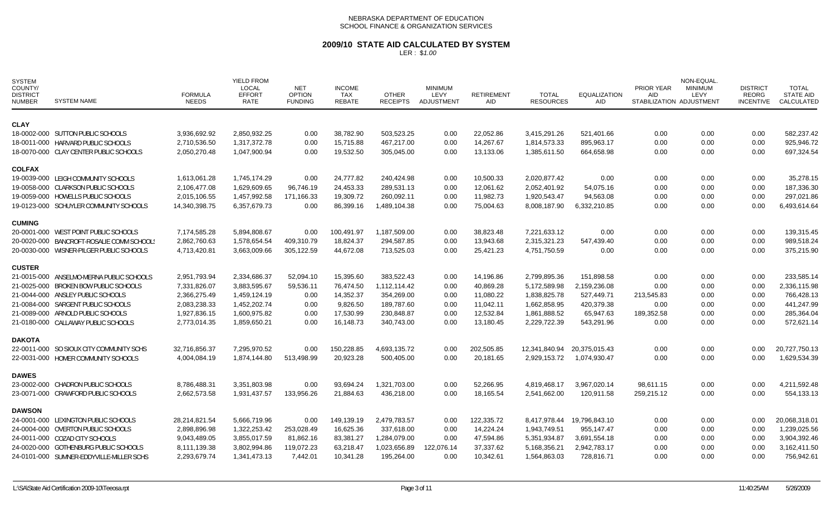### **2009/10 STATE AID CALCULATED BY SYSTEM**

| <b>SYSTEM</b><br>COUNTY/<br><b>DISTRICT</b><br><b>NUMBER</b> | <b>SYSTEM NAME</b>                        | <b>FORMULA</b><br><b>NEEDS</b> | <b>YIELD FROM</b><br>LOCAL<br><b>EFFORT</b><br><b>RATE</b> | <b>NET</b><br><b>OPTION</b><br><b>FUNDING</b> | <b>INCOME</b><br>TAX<br><b>REBATE</b> | <b>OTHER</b><br><b>RECEIPTS</b> | <b>MINIMUM</b><br>LEVY<br>ADJUSTMENT | <b>RETIREMENT</b><br>AID. | <b>TOTAL</b><br><b>RESOURCES</b> | <b>EQUALIZATION</b><br><b>AID</b> | PRIOR YEAR<br><b>AID</b><br>STABILIZATION ADJUSTMENT | NON-EQUAL.<br><b>MINIMUM</b><br>LEVY | <b>DISTRICT</b><br>REORG<br><b>INCENTIVE</b> | <b>TOTAL</b><br><b>STATE AID</b><br>CALCULATED |
|--------------------------------------------------------------|-------------------------------------------|--------------------------------|------------------------------------------------------------|-----------------------------------------------|---------------------------------------|---------------------------------|--------------------------------------|---------------------------|----------------------------------|-----------------------------------|------------------------------------------------------|--------------------------------------|----------------------------------------------|------------------------------------------------|
| <b>CLAY</b>                                                  |                                           |                                |                                                            |                                               |                                       |                                 |                                      |                           |                                  |                                   |                                                      |                                      |                                              |                                                |
|                                                              | 18-0002-000 SUTTON PUBLIC SCHOOLS         | 3,936,692.92                   | 2,850,932.25                                               | 0.00                                          | 38,782.90                             | 503,523.25                      | 0.00                                 | 22,052.86                 | 3,415,291.26                     | 521,401.66                        | 0.00                                                 | 0.00                                 | 0.00                                         | 582,237.42                                     |
|                                                              | 18-0011-000 HARVARD PUBLIC SCHOOLS        | 2,710,536.50                   | 1,317,372.78                                               | 0.00                                          | 15,715.88                             | 467,217.00                      | 0.00                                 | 14.267.67                 | 1,814,573.33                     | 895.963.17                        | 0.00                                                 | 0.00                                 | 0.00                                         | 925.946.72                                     |
|                                                              | 18-0070-000 CLAY CENTER PUBLIC SCHOOLS    | 2,050,270.48                   | 1,047,900.94                                               | 0.00                                          | 19,532.50                             | 305,045.00                      | 0.00                                 | 13,133.06                 | 1,385,611.50                     | 664,658.98                        | 0.00                                                 | 0.00                                 | 0.00                                         | 697,324.54                                     |
| <b>COLFAX</b>                                                |                                           |                                |                                                            |                                               |                                       |                                 |                                      |                           |                                  |                                   |                                                      |                                      |                                              |                                                |
|                                                              | 19-0039-000 LEIGH COMMUNITY SCHOOLS       | 1,613,061.28                   | 1.745.174.29                                               | 0.00                                          | 24,777.82                             | 240,424.98                      | 0.00                                 | 10,500.33                 | 2,020,877.42                     | 0.00                              | 0.00                                                 | 0.00                                 | 0.00                                         | 35,278.15                                      |
|                                                              | 19-0058-000 CLARKSON PUBLIC SCHOOLS       | 2,106,477.08                   | 1,629,609.65                                               | 96,746.19                                     | 24,453.33                             | 289,531.13                      | 0.00                                 | 12,061.62                 | 2,052,401.92                     | 54,075.16                         | 0.00                                                 | 0.00                                 | 0.00                                         | 187,336.30                                     |
|                                                              | 19-0059-000 HOWELLS PUBLIC SCHOOLS        | 2,015,106.55                   | 1,457,992.58                                               | 171,166.33                                    | 19,309.72                             | 260,092.11                      | 0.00                                 | 11,982.73                 | 1,920,543.47                     | 94,563.08                         | 0.00                                                 | 0.00                                 | 0.00                                         | 297,021.86                                     |
|                                                              | 19-0123-000 SCHUYLER COMMUNITY SCHOOLS    | 14,340,398.75                  | 6,357,679.73                                               | 0.00                                          | 86,399.16                             | 1,489,104.38                    | 0.00                                 | 75,004.63                 | 8,008,187.90                     | 6,332,210.85                      | 0.00                                                 | 0.00                                 | 0.00                                         | 6,493,614.64                                   |
| <b>CUMING</b>                                                |                                           |                                |                                                            |                                               |                                       |                                 |                                      |                           |                                  |                                   |                                                      |                                      |                                              |                                                |
|                                                              | 20-0001-000 WEST POINT PUBLIC SCHOOLS     | 7,174,585.28                   | 5,894,808.67                                               | 0.00                                          | 100,491.97                            | 1,187,509.00                    | 0.00                                 | 38,823.48                 | 7,221,633.12                     | 0.00                              | 0.00                                                 | 0.00                                 | 0.00                                         | 139,315.45                                     |
|                                                              | 20-0020-000 BANCROFT-ROSALIE COMM SCHOOLS | 2,862,760.63                   | 1,578,654.54                                               | 409,310.79                                    | 18,824.37                             | 294,587.85                      | 0.00                                 | 13,943.68                 | 2,315,321.23                     | 547,439.40                        | 0.00                                                 | 0.00                                 | 0.00                                         | 989,518.24                                     |
|                                                              | 20-0030-000 WISNER-PILGER PUBLIC SCHOOLS  | 4,713,420.81                   | 3,663,009.66                                               | 305,122.59                                    | 44,672.08                             | 713,525.03                      | 0.00                                 | 25,421.23                 | 4,751,750.59                     | 0.00                              | 0.00                                                 | 0.00                                 | 0.00                                         | 375,215.90                                     |
| <b>CUSTER</b>                                                |                                           |                                |                                                            |                                               |                                       |                                 |                                      |                           |                                  |                                   |                                                      |                                      |                                              |                                                |
|                                                              | 21-0015-000 ANSELMO-MERNA PUBLIC SCHOOLS  | 2,951,793.94                   | 2,334,686.37                                               | 52,094.10                                     | 15,395.60                             | 383,522.43                      | 0.00                                 | 14,196.86                 | 2,799,895.36                     | 151,898.58                        | 0.00                                                 | 0.00                                 | 0.00                                         | 233,585.14                                     |
|                                                              | 21-0025-000 BROKEN BOW PUBLIC SCHOOLS     | 7,331,826.07                   | 3,883,595.67                                               | 59,536.11                                     | 76,474.50                             | 1,112,114.42                    | 0.00                                 | 40,869.28                 | 5,172,589.98                     | 2,159,236.08                      | 0.00                                                 | 0.00                                 | 0.00                                         | 2,336,115.98                                   |
|                                                              | 21-0044-000 ANSLEY PUBLIC SCHOOLS         | 2,366,275.49                   | 1,459,124.19                                               | 0.00                                          | 14,352.37                             | 354,269.00                      | 0.00                                 | 11,080.22                 | 1,838,825.78                     | 527,449.71                        | 213,545.83                                           | 0.00                                 | 0.00                                         | 766,428.13                                     |
|                                                              | 21-0084-000 SARGENT PUBLIC SCHOOLS        | 2,083,238.33                   | 1,452,202.74                                               | 0.00                                          | 9,826.50                              | 189,787.60                      | 0.00                                 | 11,042.11                 | 1,662,858.95                     | 420,379.38                        | 0.00                                                 | 0.00                                 | 0.00                                         | 441,247.99                                     |
|                                                              | 21-0089-000 ARNOLD PUBLIC SCHOOLS         | 1,927,836.15                   | 1,600,975.82                                               | 0.00                                          | 17,530.99                             | 230,848.87                      | 0.00                                 | 12,532.84                 | 1,861,888.52                     | 65,947.63                         | 189,352.58                                           | 0.00                                 | 0.00                                         | 285,364.04                                     |
|                                                              | 21-0180-000 CALLAWAY PUBLIC SCHOOLS       | 2,773,014.35                   | 1,859,650.21                                               | 0.00                                          | 16,148.73                             | 340,743.00                      | 0.00                                 | 13,180.45                 | 2,229,722.39                     | 543,291.96                        | 0.00                                                 | 0.00                                 | 0.00                                         | 572,621.14                                     |
| <b>DAKOTA</b>                                                |                                           |                                |                                                            |                                               |                                       |                                 |                                      |                           |                                  |                                   |                                                      |                                      |                                              |                                                |
|                                                              | 22-0011-000 SO SIOUX CITY COMMUNITY SCHS  | 32,716,856.37                  | 7,295,970.52                                               | 0.00                                          | 150,228.85                            | 4,693,135.72                    | 0.00                                 | 202,505.85                | 12,341,840.94                    | 20,375,015.43                     | 0.00                                                 | 0.00                                 | 0.00                                         | 20,727,750.13                                  |
|                                                              | 22-0031-000 HOMER COMMUNITY SCHOOLS       | 4,004,084.19                   | 1,874,144.80                                               | 513,498.99                                    | 20,923.28                             | 500,405.00                      | 0.00                                 | 20,181.65                 | 2,929,153.72                     | 1,074,930.47                      | 0.00                                                 | 0.00                                 | 0.00                                         | 1,629,534.39                                   |
| <b>DAWES</b>                                                 |                                           |                                |                                                            |                                               |                                       |                                 |                                      |                           |                                  |                                   |                                                      |                                      |                                              |                                                |
|                                                              | 23-0002-000 CHADRON PUBLIC SCHOOLS        | 8,786,488.31                   | 3,351,803.98                                               | 0.00                                          | 93,694.24                             | 1,321,703.00                    | 0.00                                 | 52,266.95                 | 4,819,468.17                     | 3,967,020.14                      | 98,611.15                                            | 0.00                                 | 0.00                                         | 4,211,592.48                                   |
|                                                              | 23-0071-000 CRAWFORD PUBLIC SCHOOLS       | 2,662,573.58                   | 1,931,437.57                                               | 133,956.26                                    | 21,884.63                             | 436,218.00                      | 0.00                                 | 18,165.54                 | 2,541,662.00                     | 120,911.58                        | 259,215.12                                           | 0.00                                 | 0.00                                         | 554,133.13                                     |
| <b>DAWSON</b>                                                |                                           |                                |                                                            |                                               |                                       |                                 |                                      |                           |                                  |                                   |                                                      |                                      |                                              |                                                |
|                                                              | 24-0001-000 LEXINGTON PUBLIC SCHOOLS      | 28,214,821.54                  | 5,666,719.96                                               | 0.00                                          | 149,139.19                            | 2,479,783.57                    | 0.00                                 | 122,335.72                | 8,417,978.44                     | 19,796,843.10                     | 0.00                                                 | 0.00                                 | 0.00                                         | 20,068,318.01                                  |
|                                                              | 24-0004-000 OVERTON PUBLIC SCHOOLS        | 2,898,896.98                   | 1,322,253.42                                               | 253,028.49                                    | 16,625.36                             | 337,618.00                      | 0.00                                 | 14,224.24                 | 1,943,749.51                     | 955,147.47                        | 0.00                                                 | 0.00                                 | 0.00                                         | 1,239,025.56                                   |
|                                                              | 24-0011-000 COZAD CITY SCHOOLS            | 9,043,489.05                   | 3,855,017.59                                               | 81,862.16                                     | 83,381.27                             | 1,284,079.00                    | 0.00                                 | 47,594.86                 | 5,351,934.87                     | 3,691,554.18                      | 0.00                                                 | 0.00                                 | 0.00                                         | 3,904,392.46                                   |
|                                                              | 24-0020-000 GOTHENBURG PUBLIC SCHOOLS     | 8,111,139.38                   | 3,802,994.86                                               | 119,072.23                                    | 63,218.47                             | 1,023,656.89                    | 122,076.14                           | 37,337.62                 | 5,168,356.21                     | 2,942,783.17                      | 0.00                                                 | 0.00                                 | 0.00                                         | 3,162,411.50                                   |
|                                                              | 24-0101-000 SUMNER-EDDYVILLE-MILLER SCHS  | 2,293,679.74                   | 1,341,473.13                                               | 7,442.01                                      | 10,341.28                             | 195,264.00                      | 0.00                                 | 10,342.61                 | 1,564,863.03                     | 728,816.71                        | 0.00                                                 | 0.00                                 | 0.00                                         | 756,942.61                                     |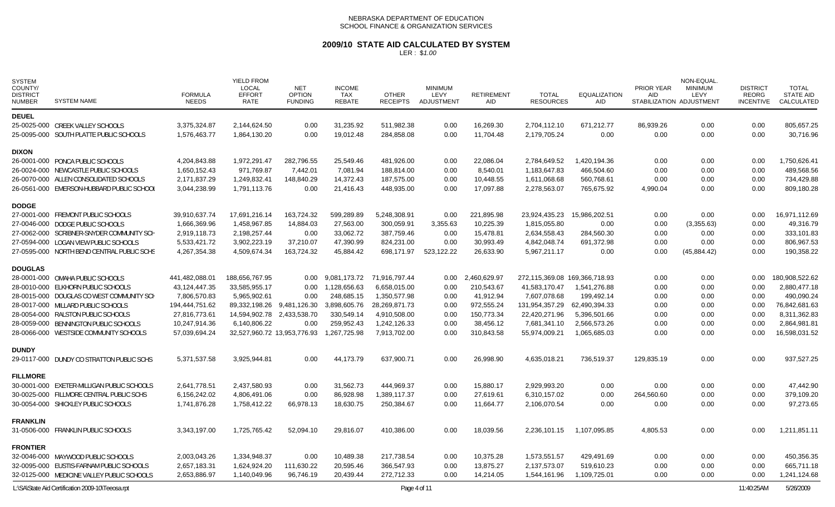# **2009/10 STATE AID CALCULATED BY SYSTEM**

| <b>DEUEL</b><br>16,269.30<br>0.00<br>25-0025-000 CREEK VALLEY SCHOOLS<br>3,375,324.87<br>2,144,624.50<br>0.00<br>31,235.92<br>511,982.38<br>0.00<br>2.704.112.10<br>671,212.77<br>86,939.26<br>0.00<br>805,657.25<br>1,864,130.20<br>19,012.48<br>284,858.08<br>0.00<br>11,704.48<br>0.00<br>0.00<br>0.00<br>0.00<br>30,716.96<br>25-0095-000 SOUTH PLATTE PUBLIC SCHOOLS<br>1,576,463.77<br>0.00<br>2,179,705.24<br><b>DIXON</b><br>1,972,291.47<br>26-0001-000 PONCA PUBLIC SCHOOLS<br>4,204,843.88<br>282,796.55<br>25,549.46<br>481,926.00<br>0.00<br>22,086.04<br>2,784,649.52<br>1,420,194.36<br>0.00<br>0.00<br>0.00<br>1,750,626.41<br>971.769.87<br>7,442.01<br>8,540.01<br>26-0024-000 NEWCASTLE PUBLIC SCHOOLS<br>1,650,152.43<br>7,081.94<br>188,814.00<br>0.00<br>1,183,647.83<br>466,504.60<br>0.00<br>0.00<br>0.00<br>489,568.56<br>2,171,837.29<br>1,249,832.41<br>14,372.43<br>187,575.00<br>10,448.55<br>560,768.61<br>0.00<br>734,429.88<br>26-0070-000 ALLEN CONSOLIDATED SCHOOLS<br>148,840.29<br>0.00<br>1,611,068.68<br>0.00<br>0.00<br>26-0561-000 EMERSON-HUBBARD PUBLIC SCHOOL<br>3,044,238.99<br>1,791,113.76<br>0.00<br>21,416.43<br>448,935.00<br>17,097.88<br>2,278,563.07<br>765,675.92<br>4,990.04<br>0.00<br>0.00<br>809,180.28<br>0.00<br><b>DODGE</b><br>163,724.32<br>599,289.89<br>221,895.98<br>16,971,112.69<br>27-0001-000 FREMONT PUBLIC SCHOOLS<br>39,910,637.74<br>17,691,216.14<br>5,248,308.91<br>0.00<br>23,924,435.23<br>15,986,202.51<br>0.00<br>0.00<br>0.00<br>27-0046-000 DODGE PUBLIC SCHOOLS<br>1,666,369.96<br>1,458,967.85<br>14,884.03<br>27,563.00<br>300,059.91<br>3,355.63<br>10,225.39<br>1,815,055.80<br>0.00<br>0.00<br>49,316.79<br>0.00<br>(3,355.63)<br>15,478.81<br>27-0062-000 SCRIBNER-SNYDER COMMUNITY SCH<br>2,198,257.44<br>0.00<br>33,062.72<br>387,759.46<br>0.00<br>2,634,558.43<br>284,560.30<br>333,101.83<br>2,919,118.73<br>0.00<br>0.00<br>0.00<br>3,902,223.19<br>37,210.07<br>47,390.99<br>824,231.00<br>30,993.49<br>0.00<br>5,533,421.72<br>0.00<br>4,842,048.74<br>691,372.98<br>0.00<br>0.00<br>806,967.53<br>27-0594-000 LOGAN VIEW PUBLIC SCHOOLS<br>4,509,674.34<br>163,724.32<br>45,884.42<br>698,171.97<br>523,122.22<br>26,633.90<br>190,358.22<br>27-0595-000 NORTH BEND CENTRAL PUBLIC SCHS<br>4,267,354.38<br>5,967,211.17<br>0.00<br>0.00<br>(45,884.42)<br>0.00<br><b>DOUGLAS</b><br>2,460,629.97<br>0.00<br>180,908,522.62<br>28-0001-000 OMAHA PUBLIC SCHOOLS<br>441,482,088.01<br>188,656,767.95<br>0.00<br>9,081,173.72<br>71,916,797.44<br>0.00<br>272,115,369.08 169,366,718.93<br>0.00<br>0.00<br>1,128,656.63<br>6,658,015.00<br>0.00<br>210,543.67<br>1,541,276.88<br>0.00<br>2,880,477.18<br>28-0010-000 ELKHORN PUBLIC SCHOOLS<br>43,124,447.35<br>33,585,955.17<br>41,583,170.47<br>0.00<br>0.00<br>0.00<br>248,685.15<br>7,806,570.83<br>5,965,902.61<br>1,350,577.98<br>0.00<br>41,912.94<br>7,607,078.68<br>199,492.14<br>0.00<br>0.00<br>490,090.24<br>28-0015-000 DOUGLAS CO WEST COMMUNITY SCH<br>0.00<br>0.00<br>3,898,605.76<br>972,555.24<br>28-0017-000 MILLARD PUBLIC SCHOOLS<br>194,444,751.62<br>89,332,198.26<br>9,481,126.30<br>28,269,871.73<br>0.00<br>131,954,357.29<br>62,490,394.33<br>0.00<br>0.00<br>0.00<br>76,842,681.63<br>14,594,902.78<br>330,549.14<br>4,910,508.00<br>150,773.34<br>22,420,271.96<br>5,396,501.66<br>8,311,362.83<br>28-0054-000 RALSTON PUBLIC SCHOOLS<br>27,816,773.61<br>2,433,538.70<br>0.00<br>0.00<br>0.00<br>0.00<br>259.952.43<br>28-0059-000 BENNINGTON PUBLIC SCHOOLS<br>10,247,914.36<br>6.140.806.22<br>0.00<br>1.242.126.33<br>0.00<br>38.456.12<br>7,681,341.10<br>2.566.573.26<br>0.00<br>0.00<br>0.00<br>2,864,981.81<br>1,267,725.98<br>310,843.58<br>0.00<br>16,598,031.52<br>28-0066-000 WESTSIDE COMMUNITY SCHOOLS<br>57,039,694.24<br>32,527,960.72 13,953,776.93<br>7,913,702.00<br>0.00<br>55,974,009.21<br>1,065,685.03<br>0.00<br>0.00<br><b>DUNDY</b><br>26,998.90<br>29-0117-000 DUNDY CO STRATTON PUBLIC SCHS<br>5,371,537.58<br>3,925,944.81<br>0.00<br>44,173.79<br>637,900.71<br>0.00<br>4,635,018.21<br>736,519.37<br>129,835.19<br>0.00<br>0.00<br>937,527.25<br><b>FILLMORE</b><br>2,437,580.93<br>31,562.73<br>15.880.17<br>30-0001-000 EXETER-MILLIGAN PUBLIC SCHOOLS<br>2,641,778.51<br>0.00<br>444.969.37<br>0.00<br>2,929,993.20<br>0.00<br>0.00<br>0.00<br>0.00<br>47,442.90<br>30-0025-000 FILLMORE CENTRAL PUBLIC SCHS<br>6,156,242.02<br>4,806,491.06<br>0.00<br>86,928.98<br>1,389,117.37<br>0.00<br>27,619.61<br>6,310,157.02<br>0.00<br>264,560.60<br>0.00<br>0.00<br>379,109.20<br>30-0054-000 SHICKLEY PUBLIC SCHOOLS<br>1,741,876.28<br>1,758,412.22<br>66,978.13<br>18,630.75<br>250,384.67<br>0.00<br>11,664.77<br>2,106,070.54<br>0.00<br>0.00<br>0.00<br>0.00<br>97,273.65<br><b>FRANKLIN</b><br>31-0506-000 FRANKLIN PUBLIC SCHOOLS<br>1,725,765.42<br>52,094.10<br>29,816.07<br>410,386.00<br>0.00<br>18,039.56<br>2,236,101.15<br>1,107,095.85<br>4,805.53<br>0.00<br>0.00<br>1.211.851.11<br>3,343,197.00<br><b>FRONTIER</b><br>2,003,043.26<br>1,334,948.37<br>0.00<br>10,489.38<br>217,738.54<br>0.00<br>10,375.28<br>1,573,551.57<br>0.00<br>0.00<br>450,356.35<br>32-0046-000 MAYWOOD PUBLIC SCHOOLS<br>429,491.69<br>0.00<br>32-0095-000 EUSTIS-FARNAM PUBLIC SCHOOLS<br>2,657,183.31<br>1,624,924.20<br>111,630.22<br>20,595.46<br>366,547.93<br>0.00<br>13,875.27<br>2,137,573.07<br>519,610.23<br>0.00<br>0.00<br>665,711.18<br>0.00<br>32-0125-000 MEDICINE VALLEY PUBLIC SCHOOLS<br>2,653,886.97<br>1,140,049.96<br>96,746.19<br>20,439.44<br>272,712.33<br>0.00<br>14,214.05<br>1,544,161.96<br>1,109,725.01<br>0.00<br>0.00<br>0.00<br>1,241,124.68 | <b>SYSTEM</b><br>COUNTY/<br><b>DISTRICT</b><br><b>NUMBER</b> | <b>SYSTEM NAME</b> | <b>FORMULA</b><br><b>NEEDS</b> | <b>YIELD FROM</b><br>LOCAL<br><b>EFFORT</b><br><b>RATE</b> | <b>NET</b><br><b>OPTION</b><br><b>FUNDING</b> | <b>INCOME</b><br><b>TAX</b><br><b>REBATE</b> | <b>OTHER</b><br><b>RECEIPTS</b> | <b>MINIMUM</b><br>LEVY<br>ADJUSTMENT | <b>RETIREMENT</b><br><b>AID</b> | <b>TOTAL</b><br><b>RESOURCES</b> | <b>EQUALIZATION</b><br><b>AID</b> | <b>PRIOR YEAR</b><br><b>AID</b> | <b>NON-EQUAL</b><br><b>MINIMUM</b><br><b>LEVY</b><br>STABILIZATION ADJUSTMENT | <b>DISTRICT</b><br><b>REORG</b><br><b>INCENTIVE</b> | <b>TOTAL</b><br><b>STATE AID</b><br>CALCULATED |
|-----------------------------------------------------------------------------------------------------------------------------------------------------------------------------------------------------------------------------------------------------------------------------------------------------------------------------------------------------------------------------------------------------------------------------------------------------------------------------------------------------------------------------------------------------------------------------------------------------------------------------------------------------------------------------------------------------------------------------------------------------------------------------------------------------------------------------------------------------------------------------------------------------------------------------------------------------------------------------------------------------------------------------------------------------------------------------------------------------------------------------------------------------------------------------------------------------------------------------------------------------------------------------------------------------------------------------------------------------------------------------------------------------------------------------------------------------------------------------------------------------------------------------------------------------------------------------------------------------------------------------------------------------------------------------------------------------------------------------------------------------------------------------------------------------------------------------------------------------------------------------------------------------------------------------------------------------------------------------------------------------------------------------------------------------------------------------------------------------------------------------------------------------------------------------------------------------------------------------------------------------------------------------------------------------------------------------------------------------------------------------------------------------------------------------------------------------------------------------------------------------------------------------------------------------------------------------------------------------------------------------------------------------------------------------------------------------------------------------------------------------------------------------------------------------------------------------------------------------------------------------------------------------------------------------------------------------------------------------------------------------------------------------------------------------------------------------------------------------------------------------------------------------------------------------------------------------------------------------------------------------------------------------------------------------------------------------------------------------------------------------------------------------------------------------------------------------------------------------------------------------------------------------------------------------------------------------------------------------------------------------------------------------------------------------------------------------------------------------------------------------------------------------------------------------------------------------------------------------------------------------------------------------------------------------------------------------------------------------------------------------------------------------------------------------------------------------------------------------------------------------------------------------------------------------------------------------------------------------------------------------------------------------------------------------------------------------------------------------------------------------------------------------------------------------------------------------------------------------------------------------------------------------------------------------------------------------------------------------------------------------------------------------------------------------------------------------------------------------------------------------------------------------------------------------------------------------------------------------------------------------------------------------------------------------------------------------------------------------------------------------------------------------------------------------------------------------------------------------------------------------------------------------------------------------------------------------------------------------------------------------------------------------------------------------------------------------------------------------------------------------------------------------------------------------------------------------------------------------------------------------------------------------------------------------------------------------------------------------------------------------------------------------------------------------------|--------------------------------------------------------------|--------------------|--------------------------------|------------------------------------------------------------|-----------------------------------------------|----------------------------------------------|---------------------------------|--------------------------------------|---------------------------------|----------------------------------|-----------------------------------|---------------------------------|-------------------------------------------------------------------------------|-----------------------------------------------------|------------------------------------------------|
|                                                                                                                                                                                                                                                                                                                                                                                                                                                                                                                                                                                                                                                                                                                                                                                                                                                                                                                                                                                                                                                                                                                                                                                                                                                                                                                                                                                                                                                                                                                                                                                                                                                                                                                                                                                                                                                                                                                                                                                                                                                                                                                                                                                                                                                                                                                                                                                                                                                                                                                                                                                                                                                                                                                                                                                                                                                                                                                                                                                                                                                                                                                                                                                                                                                                                                                                                                                                                                                                                                                                                                                                                                                                                                                                                                                                                                                                                                                                                                                                                                                                                                                                                                                                                                                                                                                                                                                                                                                                                                                                                                                                                                                                                                                                                                                                                                                                                                                                                                                                                                                                                                                                                                                                                                                                                                                                                                                                                                                                                                                                                                                                                                                                                   |                                                              |                    |                                |                                                            |                                               |                                              |                                 |                                      |                                 |                                  |                                   |                                 |                                                                               |                                                     |                                                |
|                                                                                                                                                                                                                                                                                                                                                                                                                                                                                                                                                                                                                                                                                                                                                                                                                                                                                                                                                                                                                                                                                                                                                                                                                                                                                                                                                                                                                                                                                                                                                                                                                                                                                                                                                                                                                                                                                                                                                                                                                                                                                                                                                                                                                                                                                                                                                                                                                                                                                                                                                                                                                                                                                                                                                                                                                                                                                                                                                                                                                                                                                                                                                                                                                                                                                                                                                                                                                                                                                                                                                                                                                                                                                                                                                                                                                                                                                                                                                                                                                                                                                                                                                                                                                                                                                                                                                                                                                                                                                                                                                                                                                                                                                                                                                                                                                                                                                                                                                                                                                                                                                                                                                                                                                                                                                                                                                                                                                                                                                                                                                                                                                                                                                   |                                                              |                    |                                |                                                            |                                               |                                              |                                 |                                      |                                 |                                  |                                   |                                 |                                                                               |                                                     |                                                |
|                                                                                                                                                                                                                                                                                                                                                                                                                                                                                                                                                                                                                                                                                                                                                                                                                                                                                                                                                                                                                                                                                                                                                                                                                                                                                                                                                                                                                                                                                                                                                                                                                                                                                                                                                                                                                                                                                                                                                                                                                                                                                                                                                                                                                                                                                                                                                                                                                                                                                                                                                                                                                                                                                                                                                                                                                                                                                                                                                                                                                                                                                                                                                                                                                                                                                                                                                                                                                                                                                                                                                                                                                                                                                                                                                                                                                                                                                                                                                                                                                                                                                                                                                                                                                                                                                                                                                                                                                                                                                                                                                                                                                                                                                                                                                                                                                                                                                                                                                                                                                                                                                                                                                                                                                                                                                                                                                                                                                                                                                                                                                                                                                                                                                   |                                                              |                    |                                |                                                            |                                               |                                              |                                 |                                      |                                 |                                  |                                   |                                 |                                                                               |                                                     |                                                |
|                                                                                                                                                                                                                                                                                                                                                                                                                                                                                                                                                                                                                                                                                                                                                                                                                                                                                                                                                                                                                                                                                                                                                                                                                                                                                                                                                                                                                                                                                                                                                                                                                                                                                                                                                                                                                                                                                                                                                                                                                                                                                                                                                                                                                                                                                                                                                                                                                                                                                                                                                                                                                                                                                                                                                                                                                                                                                                                                                                                                                                                                                                                                                                                                                                                                                                                                                                                                                                                                                                                                                                                                                                                                                                                                                                                                                                                                                                                                                                                                                                                                                                                                                                                                                                                                                                                                                                                                                                                                                                                                                                                                                                                                                                                                                                                                                                                                                                                                                                                                                                                                                                                                                                                                                                                                                                                                                                                                                                                                                                                                                                                                                                                                                   |                                                              |                    |                                |                                                            |                                               |                                              |                                 |                                      |                                 |                                  |                                   |                                 |                                                                               |                                                     |                                                |
|                                                                                                                                                                                                                                                                                                                                                                                                                                                                                                                                                                                                                                                                                                                                                                                                                                                                                                                                                                                                                                                                                                                                                                                                                                                                                                                                                                                                                                                                                                                                                                                                                                                                                                                                                                                                                                                                                                                                                                                                                                                                                                                                                                                                                                                                                                                                                                                                                                                                                                                                                                                                                                                                                                                                                                                                                                                                                                                                                                                                                                                                                                                                                                                                                                                                                                                                                                                                                                                                                                                                                                                                                                                                                                                                                                                                                                                                                                                                                                                                                                                                                                                                                                                                                                                                                                                                                                                                                                                                                                                                                                                                                                                                                                                                                                                                                                                                                                                                                                                                                                                                                                                                                                                                                                                                                                                                                                                                                                                                                                                                                                                                                                                                                   |                                                              |                    |                                |                                                            |                                               |                                              |                                 |                                      |                                 |                                  |                                   |                                 |                                                                               |                                                     |                                                |
|                                                                                                                                                                                                                                                                                                                                                                                                                                                                                                                                                                                                                                                                                                                                                                                                                                                                                                                                                                                                                                                                                                                                                                                                                                                                                                                                                                                                                                                                                                                                                                                                                                                                                                                                                                                                                                                                                                                                                                                                                                                                                                                                                                                                                                                                                                                                                                                                                                                                                                                                                                                                                                                                                                                                                                                                                                                                                                                                                                                                                                                                                                                                                                                                                                                                                                                                                                                                                                                                                                                                                                                                                                                                                                                                                                                                                                                                                                                                                                                                                                                                                                                                                                                                                                                                                                                                                                                                                                                                                                                                                                                                                                                                                                                                                                                                                                                                                                                                                                                                                                                                                                                                                                                                                                                                                                                                                                                                                                                                                                                                                                                                                                                                                   |                                                              |                    |                                |                                                            |                                               |                                              |                                 |                                      |                                 |                                  |                                   |                                 |                                                                               |                                                     |                                                |
|                                                                                                                                                                                                                                                                                                                                                                                                                                                                                                                                                                                                                                                                                                                                                                                                                                                                                                                                                                                                                                                                                                                                                                                                                                                                                                                                                                                                                                                                                                                                                                                                                                                                                                                                                                                                                                                                                                                                                                                                                                                                                                                                                                                                                                                                                                                                                                                                                                                                                                                                                                                                                                                                                                                                                                                                                                                                                                                                                                                                                                                                                                                                                                                                                                                                                                                                                                                                                                                                                                                                                                                                                                                                                                                                                                                                                                                                                                                                                                                                                                                                                                                                                                                                                                                                                                                                                                                                                                                                                                                                                                                                                                                                                                                                                                                                                                                                                                                                                                                                                                                                                                                                                                                                                                                                                                                                                                                                                                                                                                                                                                                                                                                                                   |                                                              |                    |                                |                                                            |                                               |                                              |                                 |                                      |                                 |                                  |                                   |                                 |                                                                               |                                                     |                                                |
|                                                                                                                                                                                                                                                                                                                                                                                                                                                                                                                                                                                                                                                                                                                                                                                                                                                                                                                                                                                                                                                                                                                                                                                                                                                                                                                                                                                                                                                                                                                                                                                                                                                                                                                                                                                                                                                                                                                                                                                                                                                                                                                                                                                                                                                                                                                                                                                                                                                                                                                                                                                                                                                                                                                                                                                                                                                                                                                                                                                                                                                                                                                                                                                                                                                                                                                                                                                                                                                                                                                                                                                                                                                                                                                                                                                                                                                                                                                                                                                                                                                                                                                                                                                                                                                                                                                                                                                                                                                                                                                                                                                                                                                                                                                                                                                                                                                                                                                                                                                                                                                                                                                                                                                                                                                                                                                                                                                                                                                                                                                                                                                                                                                                                   |                                                              |                    |                                |                                                            |                                               |                                              |                                 |                                      |                                 |                                  |                                   |                                 |                                                                               |                                                     |                                                |
|                                                                                                                                                                                                                                                                                                                                                                                                                                                                                                                                                                                                                                                                                                                                                                                                                                                                                                                                                                                                                                                                                                                                                                                                                                                                                                                                                                                                                                                                                                                                                                                                                                                                                                                                                                                                                                                                                                                                                                                                                                                                                                                                                                                                                                                                                                                                                                                                                                                                                                                                                                                                                                                                                                                                                                                                                                                                                                                                                                                                                                                                                                                                                                                                                                                                                                                                                                                                                                                                                                                                                                                                                                                                                                                                                                                                                                                                                                                                                                                                                                                                                                                                                                                                                                                                                                                                                                                                                                                                                                                                                                                                                                                                                                                                                                                                                                                                                                                                                                                                                                                                                                                                                                                                                                                                                                                                                                                                                                                                                                                                                                                                                                                                                   |                                                              |                    |                                |                                                            |                                               |                                              |                                 |                                      |                                 |                                  |                                   |                                 |                                                                               |                                                     |                                                |
|                                                                                                                                                                                                                                                                                                                                                                                                                                                                                                                                                                                                                                                                                                                                                                                                                                                                                                                                                                                                                                                                                                                                                                                                                                                                                                                                                                                                                                                                                                                                                                                                                                                                                                                                                                                                                                                                                                                                                                                                                                                                                                                                                                                                                                                                                                                                                                                                                                                                                                                                                                                                                                                                                                                                                                                                                                                                                                                                                                                                                                                                                                                                                                                                                                                                                                                                                                                                                                                                                                                                                                                                                                                                                                                                                                                                                                                                                                                                                                                                                                                                                                                                                                                                                                                                                                                                                                                                                                                                                                                                                                                                                                                                                                                                                                                                                                                                                                                                                                                                                                                                                                                                                                                                                                                                                                                                                                                                                                                                                                                                                                                                                                                                                   |                                                              |                    |                                |                                                            |                                               |                                              |                                 |                                      |                                 |                                  |                                   |                                 |                                                                               |                                                     |                                                |
|                                                                                                                                                                                                                                                                                                                                                                                                                                                                                                                                                                                                                                                                                                                                                                                                                                                                                                                                                                                                                                                                                                                                                                                                                                                                                                                                                                                                                                                                                                                                                                                                                                                                                                                                                                                                                                                                                                                                                                                                                                                                                                                                                                                                                                                                                                                                                                                                                                                                                                                                                                                                                                                                                                                                                                                                                                                                                                                                                                                                                                                                                                                                                                                                                                                                                                                                                                                                                                                                                                                                                                                                                                                                                                                                                                                                                                                                                                                                                                                                                                                                                                                                                                                                                                                                                                                                                                                                                                                                                                                                                                                                                                                                                                                                                                                                                                                                                                                                                                                                                                                                                                                                                                                                                                                                                                                                                                                                                                                                                                                                                                                                                                                                                   |                                                              |                    |                                |                                                            |                                               |                                              |                                 |                                      |                                 |                                  |                                   |                                 |                                                                               |                                                     |                                                |
|                                                                                                                                                                                                                                                                                                                                                                                                                                                                                                                                                                                                                                                                                                                                                                                                                                                                                                                                                                                                                                                                                                                                                                                                                                                                                                                                                                                                                                                                                                                                                                                                                                                                                                                                                                                                                                                                                                                                                                                                                                                                                                                                                                                                                                                                                                                                                                                                                                                                                                                                                                                                                                                                                                                                                                                                                                                                                                                                                                                                                                                                                                                                                                                                                                                                                                                                                                                                                                                                                                                                                                                                                                                                                                                                                                                                                                                                                                                                                                                                                                                                                                                                                                                                                                                                                                                                                                                                                                                                                                                                                                                                                                                                                                                                                                                                                                                                                                                                                                                                                                                                                                                                                                                                                                                                                                                                                                                                                                                                                                                                                                                                                                                                                   |                                                              |                    |                                |                                                            |                                               |                                              |                                 |                                      |                                 |                                  |                                   |                                 |                                                                               |                                                     |                                                |
|                                                                                                                                                                                                                                                                                                                                                                                                                                                                                                                                                                                                                                                                                                                                                                                                                                                                                                                                                                                                                                                                                                                                                                                                                                                                                                                                                                                                                                                                                                                                                                                                                                                                                                                                                                                                                                                                                                                                                                                                                                                                                                                                                                                                                                                                                                                                                                                                                                                                                                                                                                                                                                                                                                                                                                                                                                                                                                                                                                                                                                                                                                                                                                                                                                                                                                                                                                                                                                                                                                                                                                                                                                                                                                                                                                                                                                                                                                                                                                                                                                                                                                                                                                                                                                                                                                                                                                                                                                                                                                                                                                                                                                                                                                                                                                                                                                                                                                                                                                                                                                                                                                                                                                                                                                                                                                                                                                                                                                                                                                                                                                                                                                                                                   |                                                              |                    |                                |                                                            |                                               |                                              |                                 |                                      |                                 |                                  |                                   |                                 |                                                                               |                                                     |                                                |
|                                                                                                                                                                                                                                                                                                                                                                                                                                                                                                                                                                                                                                                                                                                                                                                                                                                                                                                                                                                                                                                                                                                                                                                                                                                                                                                                                                                                                                                                                                                                                                                                                                                                                                                                                                                                                                                                                                                                                                                                                                                                                                                                                                                                                                                                                                                                                                                                                                                                                                                                                                                                                                                                                                                                                                                                                                                                                                                                                                                                                                                                                                                                                                                                                                                                                                                                                                                                                                                                                                                                                                                                                                                                                                                                                                                                                                                                                                                                                                                                                                                                                                                                                                                                                                                                                                                                                                                                                                                                                                                                                                                                                                                                                                                                                                                                                                                                                                                                                                                                                                                                                                                                                                                                                                                                                                                                                                                                                                                                                                                                                                                                                                                                                   |                                                              |                    |                                |                                                            |                                               |                                              |                                 |                                      |                                 |                                  |                                   |                                 |                                                                               |                                                     |                                                |
|                                                                                                                                                                                                                                                                                                                                                                                                                                                                                                                                                                                                                                                                                                                                                                                                                                                                                                                                                                                                                                                                                                                                                                                                                                                                                                                                                                                                                                                                                                                                                                                                                                                                                                                                                                                                                                                                                                                                                                                                                                                                                                                                                                                                                                                                                                                                                                                                                                                                                                                                                                                                                                                                                                                                                                                                                                                                                                                                                                                                                                                                                                                                                                                                                                                                                                                                                                                                                                                                                                                                                                                                                                                                                                                                                                                                                                                                                                                                                                                                                                                                                                                                                                                                                                                                                                                                                                                                                                                                                                                                                                                                                                                                                                                                                                                                                                                                                                                                                                                                                                                                                                                                                                                                                                                                                                                                                                                                                                                                                                                                                                                                                                                                                   |                                                              |                    |                                |                                                            |                                               |                                              |                                 |                                      |                                 |                                  |                                   |                                 |                                                                               |                                                     |                                                |
|                                                                                                                                                                                                                                                                                                                                                                                                                                                                                                                                                                                                                                                                                                                                                                                                                                                                                                                                                                                                                                                                                                                                                                                                                                                                                                                                                                                                                                                                                                                                                                                                                                                                                                                                                                                                                                                                                                                                                                                                                                                                                                                                                                                                                                                                                                                                                                                                                                                                                                                                                                                                                                                                                                                                                                                                                                                                                                                                                                                                                                                                                                                                                                                                                                                                                                                                                                                                                                                                                                                                                                                                                                                                                                                                                                                                                                                                                                                                                                                                                                                                                                                                                                                                                                                                                                                                                                                                                                                                                                                                                                                                                                                                                                                                                                                                                                                                                                                                                                                                                                                                                                                                                                                                                                                                                                                                                                                                                                                                                                                                                                                                                                                                                   |                                                              |                    |                                |                                                            |                                               |                                              |                                 |                                      |                                 |                                  |                                   |                                 |                                                                               |                                                     |                                                |
|                                                                                                                                                                                                                                                                                                                                                                                                                                                                                                                                                                                                                                                                                                                                                                                                                                                                                                                                                                                                                                                                                                                                                                                                                                                                                                                                                                                                                                                                                                                                                                                                                                                                                                                                                                                                                                                                                                                                                                                                                                                                                                                                                                                                                                                                                                                                                                                                                                                                                                                                                                                                                                                                                                                                                                                                                                                                                                                                                                                                                                                                                                                                                                                                                                                                                                                                                                                                                                                                                                                                                                                                                                                                                                                                                                                                                                                                                                                                                                                                                                                                                                                                                                                                                                                                                                                                                                                                                                                                                                                                                                                                                                                                                                                                                                                                                                                                                                                                                                                                                                                                                                                                                                                                                                                                                                                                                                                                                                                                                                                                                                                                                                                                                   |                                                              |                    |                                |                                                            |                                               |                                              |                                 |                                      |                                 |                                  |                                   |                                 |                                                                               |                                                     |                                                |
|                                                                                                                                                                                                                                                                                                                                                                                                                                                                                                                                                                                                                                                                                                                                                                                                                                                                                                                                                                                                                                                                                                                                                                                                                                                                                                                                                                                                                                                                                                                                                                                                                                                                                                                                                                                                                                                                                                                                                                                                                                                                                                                                                                                                                                                                                                                                                                                                                                                                                                                                                                                                                                                                                                                                                                                                                                                                                                                                                                                                                                                                                                                                                                                                                                                                                                                                                                                                                                                                                                                                                                                                                                                                                                                                                                                                                                                                                                                                                                                                                                                                                                                                                                                                                                                                                                                                                                                                                                                                                                                                                                                                                                                                                                                                                                                                                                                                                                                                                                                                                                                                                                                                                                                                                                                                                                                                                                                                                                                                                                                                                                                                                                                                                   |                                                              |                    |                                |                                                            |                                               |                                              |                                 |                                      |                                 |                                  |                                   |                                 |                                                                               |                                                     |                                                |
|                                                                                                                                                                                                                                                                                                                                                                                                                                                                                                                                                                                                                                                                                                                                                                                                                                                                                                                                                                                                                                                                                                                                                                                                                                                                                                                                                                                                                                                                                                                                                                                                                                                                                                                                                                                                                                                                                                                                                                                                                                                                                                                                                                                                                                                                                                                                                                                                                                                                                                                                                                                                                                                                                                                                                                                                                                                                                                                                                                                                                                                                                                                                                                                                                                                                                                                                                                                                                                                                                                                                                                                                                                                                                                                                                                                                                                                                                                                                                                                                                                                                                                                                                                                                                                                                                                                                                                                                                                                                                                                                                                                                                                                                                                                                                                                                                                                                                                                                                                                                                                                                                                                                                                                                                                                                                                                                                                                                                                                                                                                                                                                                                                                                                   |                                                              |                    |                                |                                                            |                                               |                                              |                                 |                                      |                                 |                                  |                                   |                                 |                                                                               |                                                     |                                                |
|                                                                                                                                                                                                                                                                                                                                                                                                                                                                                                                                                                                                                                                                                                                                                                                                                                                                                                                                                                                                                                                                                                                                                                                                                                                                                                                                                                                                                                                                                                                                                                                                                                                                                                                                                                                                                                                                                                                                                                                                                                                                                                                                                                                                                                                                                                                                                                                                                                                                                                                                                                                                                                                                                                                                                                                                                                                                                                                                                                                                                                                                                                                                                                                                                                                                                                                                                                                                                                                                                                                                                                                                                                                                                                                                                                                                                                                                                                                                                                                                                                                                                                                                                                                                                                                                                                                                                                                                                                                                                                                                                                                                                                                                                                                                                                                                                                                                                                                                                                                                                                                                                                                                                                                                                                                                                                                                                                                                                                                                                                                                                                                                                                                                                   |                                                              |                    |                                |                                                            |                                               |                                              |                                 |                                      |                                 |                                  |                                   |                                 |                                                                               |                                                     |                                                |
|                                                                                                                                                                                                                                                                                                                                                                                                                                                                                                                                                                                                                                                                                                                                                                                                                                                                                                                                                                                                                                                                                                                                                                                                                                                                                                                                                                                                                                                                                                                                                                                                                                                                                                                                                                                                                                                                                                                                                                                                                                                                                                                                                                                                                                                                                                                                                                                                                                                                                                                                                                                                                                                                                                                                                                                                                                                                                                                                                                                                                                                                                                                                                                                                                                                                                                                                                                                                                                                                                                                                                                                                                                                                                                                                                                                                                                                                                                                                                                                                                                                                                                                                                                                                                                                                                                                                                                                                                                                                                                                                                                                                                                                                                                                                                                                                                                                                                                                                                                                                                                                                                                                                                                                                                                                                                                                                                                                                                                                                                                                                                                                                                                                                                   |                                                              |                    |                                |                                                            |                                               |                                              |                                 |                                      |                                 |                                  |                                   |                                 |                                                                               |                                                     |                                                |
|                                                                                                                                                                                                                                                                                                                                                                                                                                                                                                                                                                                                                                                                                                                                                                                                                                                                                                                                                                                                                                                                                                                                                                                                                                                                                                                                                                                                                                                                                                                                                                                                                                                                                                                                                                                                                                                                                                                                                                                                                                                                                                                                                                                                                                                                                                                                                                                                                                                                                                                                                                                                                                                                                                                                                                                                                                                                                                                                                                                                                                                                                                                                                                                                                                                                                                                                                                                                                                                                                                                                                                                                                                                                                                                                                                                                                                                                                                                                                                                                                                                                                                                                                                                                                                                                                                                                                                                                                                                                                                                                                                                                                                                                                                                                                                                                                                                                                                                                                                                                                                                                                                                                                                                                                                                                                                                                                                                                                                                                                                                                                                                                                                                                                   |                                                              |                    |                                |                                                            |                                               |                                              |                                 |                                      |                                 |                                  |                                   |                                 |                                                                               |                                                     |                                                |
|                                                                                                                                                                                                                                                                                                                                                                                                                                                                                                                                                                                                                                                                                                                                                                                                                                                                                                                                                                                                                                                                                                                                                                                                                                                                                                                                                                                                                                                                                                                                                                                                                                                                                                                                                                                                                                                                                                                                                                                                                                                                                                                                                                                                                                                                                                                                                                                                                                                                                                                                                                                                                                                                                                                                                                                                                                                                                                                                                                                                                                                                                                                                                                                                                                                                                                                                                                                                                                                                                                                                                                                                                                                                                                                                                                                                                                                                                                                                                                                                                                                                                                                                                                                                                                                                                                                                                                                                                                                                                                                                                                                                                                                                                                                                                                                                                                                                                                                                                                                                                                                                                                                                                                                                                                                                                                                                                                                                                                                                                                                                                                                                                                                                                   |                                                              |                    |                                |                                                            |                                               |                                              |                                 |                                      |                                 |                                  |                                   |                                 |                                                                               |                                                     |                                                |
|                                                                                                                                                                                                                                                                                                                                                                                                                                                                                                                                                                                                                                                                                                                                                                                                                                                                                                                                                                                                                                                                                                                                                                                                                                                                                                                                                                                                                                                                                                                                                                                                                                                                                                                                                                                                                                                                                                                                                                                                                                                                                                                                                                                                                                                                                                                                                                                                                                                                                                                                                                                                                                                                                                                                                                                                                                                                                                                                                                                                                                                                                                                                                                                                                                                                                                                                                                                                                                                                                                                                                                                                                                                                                                                                                                                                                                                                                                                                                                                                                                                                                                                                                                                                                                                                                                                                                                                                                                                                                                                                                                                                                                                                                                                                                                                                                                                                                                                                                                                                                                                                                                                                                                                                                                                                                                                                                                                                                                                                                                                                                                                                                                                                                   |                                                              |                    |                                |                                                            |                                               |                                              |                                 |                                      |                                 |                                  |                                   |                                 |                                                                               |                                                     |                                                |
|                                                                                                                                                                                                                                                                                                                                                                                                                                                                                                                                                                                                                                                                                                                                                                                                                                                                                                                                                                                                                                                                                                                                                                                                                                                                                                                                                                                                                                                                                                                                                                                                                                                                                                                                                                                                                                                                                                                                                                                                                                                                                                                                                                                                                                                                                                                                                                                                                                                                                                                                                                                                                                                                                                                                                                                                                                                                                                                                                                                                                                                                                                                                                                                                                                                                                                                                                                                                                                                                                                                                                                                                                                                                                                                                                                                                                                                                                                                                                                                                                                                                                                                                                                                                                                                                                                                                                                                                                                                                                                                                                                                                                                                                                                                                                                                                                                                                                                                                                                                                                                                                                                                                                                                                                                                                                                                                                                                                                                                                                                                                                                                                                                                                                   |                                                              |                    |                                |                                                            |                                               |                                              |                                 |                                      |                                 |                                  |                                   |                                 |                                                                               |                                                     |                                                |
|                                                                                                                                                                                                                                                                                                                                                                                                                                                                                                                                                                                                                                                                                                                                                                                                                                                                                                                                                                                                                                                                                                                                                                                                                                                                                                                                                                                                                                                                                                                                                                                                                                                                                                                                                                                                                                                                                                                                                                                                                                                                                                                                                                                                                                                                                                                                                                                                                                                                                                                                                                                                                                                                                                                                                                                                                                                                                                                                                                                                                                                                                                                                                                                                                                                                                                                                                                                                                                                                                                                                                                                                                                                                                                                                                                                                                                                                                                                                                                                                                                                                                                                                                                                                                                                                                                                                                                                                                                                                                                                                                                                                                                                                                                                                                                                                                                                                                                                                                                                                                                                                                                                                                                                                                                                                                                                                                                                                                                                                                                                                                                                                                                                                                   |                                                              |                    |                                |                                                            |                                               |                                              |                                 |                                      |                                 |                                  |                                   |                                 |                                                                               |                                                     |                                                |
|                                                                                                                                                                                                                                                                                                                                                                                                                                                                                                                                                                                                                                                                                                                                                                                                                                                                                                                                                                                                                                                                                                                                                                                                                                                                                                                                                                                                                                                                                                                                                                                                                                                                                                                                                                                                                                                                                                                                                                                                                                                                                                                                                                                                                                                                                                                                                                                                                                                                                                                                                                                                                                                                                                                                                                                                                                                                                                                                                                                                                                                                                                                                                                                                                                                                                                                                                                                                                                                                                                                                                                                                                                                                                                                                                                                                                                                                                                                                                                                                                                                                                                                                                                                                                                                                                                                                                                                                                                                                                                                                                                                                                                                                                                                                                                                                                                                                                                                                                                                                                                                                                                                                                                                                                                                                                                                                                                                                                                                                                                                                                                                                                                                                                   |                                                              |                    |                                |                                                            |                                               |                                              |                                 |                                      |                                 |                                  |                                   |                                 |                                                                               |                                                     |                                                |
|                                                                                                                                                                                                                                                                                                                                                                                                                                                                                                                                                                                                                                                                                                                                                                                                                                                                                                                                                                                                                                                                                                                                                                                                                                                                                                                                                                                                                                                                                                                                                                                                                                                                                                                                                                                                                                                                                                                                                                                                                                                                                                                                                                                                                                                                                                                                                                                                                                                                                                                                                                                                                                                                                                                                                                                                                                                                                                                                                                                                                                                                                                                                                                                                                                                                                                                                                                                                                                                                                                                                                                                                                                                                                                                                                                                                                                                                                                                                                                                                                                                                                                                                                                                                                                                                                                                                                                                                                                                                                                                                                                                                                                                                                                                                                                                                                                                                                                                                                                                                                                                                                                                                                                                                                                                                                                                                                                                                                                                                                                                                                                                                                                                                                   |                                                              |                    |                                |                                                            |                                               |                                              |                                 |                                      |                                 |                                  |                                   |                                 |                                                                               |                                                     |                                                |
|                                                                                                                                                                                                                                                                                                                                                                                                                                                                                                                                                                                                                                                                                                                                                                                                                                                                                                                                                                                                                                                                                                                                                                                                                                                                                                                                                                                                                                                                                                                                                                                                                                                                                                                                                                                                                                                                                                                                                                                                                                                                                                                                                                                                                                                                                                                                                                                                                                                                                                                                                                                                                                                                                                                                                                                                                                                                                                                                                                                                                                                                                                                                                                                                                                                                                                                                                                                                                                                                                                                                                                                                                                                                                                                                                                                                                                                                                                                                                                                                                                                                                                                                                                                                                                                                                                                                                                                                                                                                                                                                                                                                                                                                                                                                                                                                                                                                                                                                                                                                                                                                                                                                                                                                                                                                                                                                                                                                                                                                                                                                                                                                                                                                                   |                                                              |                    |                                |                                                            |                                               |                                              |                                 |                                      |                                 |                                  |                                   |                                 |                                                                               |                                                     |                                                |
|                                                                                                                                                                                                                                                                                                                                                                                                                                                                                                                                                                                                                                                                                                                                                                                                                                                                                                                                                                                                                                                                                                                                                                                                                                                                                                                                                                                                                                                                                                                                                                                                                                                                                                                                                                                                                                                                                                                                                                                                                                                                                                                                                                                                                                                                                                                                                                                                                                                                                                                                                                                                                                                                                                                                                                                                                                                                                                                                                                                                                                                                                                                                                                                                                                                                                                                                                                                                                                                                                                                                                                                                                                                                                                                                                                                                                                                                                                                                                                                                                                                                                                                                                                                                                                                                                                                                                                                                                                                                                                                                                                                                                                                                                                                                                                                                                                                                                                                                                                                                                                                                                                                                                                                                                                                                                                                                                                                                                                                                                                                                                                                                                                                                                   |                                                              |                    |                                |                                                            |                                               |                                              |                                 |                                      |                                 |                                  |                                   |                                 |                                                                               |                                                     |                                                |
|                                                                                                                                                                                                                                                                                                                                                                                                                                                                                                                                                                                                                                                                                                                                                                                                                                                                                                                                                                                                                                                                                                                                                                                                                                                                                                                                                                                                                                                                                                                                                                                                                                                                                                                                                                                                                                                                                                                                                                                                                                                                                                                                                                                                                                                                                                                                                                                                                                                                                                                                                                                                                                                                                                                                                                                                                                                                                                                                                                                                                                                                                                                                                                                                                                                                                                                                                                                                                                                                                                                                                                                                                                                                                                                                                                                                                                                                                                                                                                                                                                                                                                                                                                                                                                                                                                                                                                                                                                                                                                                                                                                                                                                                                                                                                                                                                                                                                                                                                                                                                                                                                                                                                                                                                                                                                                                                                                                                                                                                                                                                                                                                                                                                                   |                                                              |                    |                                |                                                            |                                               |                                              |                                 |                                      |                                 |                                  |                                   |                                 |                                                                               |                                                     |                                                |
|                                                                                                                                                                                                                                                                                                                                                                                                                                                                                                                                                                                                                                                                                                                                                                                                                                                                                                                                                                                                                                                                                                                                                                                                                                                                                                                                                                                                                                                                                                                                                                                                                                                                                                                                                                                                                                                                                                                                                                                                                                                                                                                                                                                                                                                                                                                                                                                                                                                                                                                                                                                                                                                                                                                                                                                                                                                                                                                                                                                                                                                                                                                                                                                                                                                                                                                                                                                                                                                                                                                                                                                                                                                                                                                                                                                                                                                                                                                                                                                                                                                                                                                                                                                                                                                                                                                                                                                                                                                                                                                                                                                                                                                                                                                                                                                                                                                                                                                                                                                                                                                                                                                                                                                                                                                                                                                                                                                                                                                                                                                                                                                                                                                                                   |                                                              |                    |                                |                                                            |                                               |                                              |                                 |                                      |                                 |                                  |                                   |                                 |                                                                               |                                                     |                                                |
|                                                                                                                                                                                                                                                                                                                                                                                                                                                                                                                                                                                                                                                                                                                                                                                                                                                                                                                                                                                                                                                                                                                                                                                                                                                                                                                                                                                                                                                                                                                                                                                                                                                                                                                                                                                                                                                                                                                                                                                                                                                                                                                                                                                                                                                                                                                                                                                                                                                                                                                                                                                                                                                                                                                                                                                                                                                                                                                                                                                                                                                                                                                                                                                                                                                                                                                                                                                                                                                                                                                                                                                                                                                                                                                                                                                                                                                                                                                                                                                                                                                                                                                                                                                                                                                                                                                                                                                                                                                                                                                                                                                                                                                                                                                                                                                                                                                                                                                                                                                                                                                                                                                                                                                                                                                                                                                                                                                                                                                                                                                                                                                                                                                                                   |                                                              |                    |                                |                                                            |                                               |                                              |                                 |                                      |                                 |                                  |                                   |                                 |                                                                               |                                                     |                                                |
|                                                                                                                                                                                                                                                                                                                                                                                                                                                                                                                                                                                                                                                                                                                                                                                                                                                                                                                                                                                                                                                                                                                                                                                                                                                                                                                                                                                                                                                                                                                                                                                                                                                                                                                                                                                                                                                                                                                                                                                                                                                                                                                                                                                                                                                                                                                                                                                                                                                                                                                                                                                                                                                                                                                                                                                                                                                                                                                                                                                                                                                                                                                                                                                                                                                                                                                                                                                                                                                                                                                                                                                                                                                                                                                                                                                                                                                                                                                                                                                                                                                                                                                                                                                                                                                                                                                                                                                                                                                                                                                                                                                                                                                                                                                                                                                                                                                                                                                                                                                                                                                                                                                                                                                                                                                                                                                                                                                                                                                                                                                                                                                                                                                                                   |                                                              |                    |                                |                                                            |                                               |                                              |                                 |                                      |                                 |                                  |                                   |                                 |                                                                               |                                                     |                                                |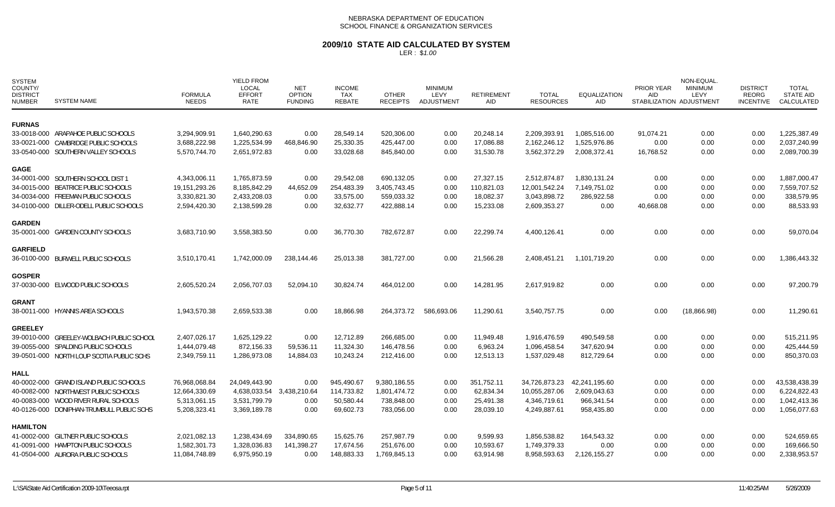### **2009/10 STATE AID CALCULATED BY SYSTEM**

| SYSTEM<br>COUNTY/<br><b>DISTRICT</b><br><b>NUMBER</b> | <b>SYSTEM NAME</b>                        | <b>FORMULA</b><br><b>NEEDS</b> | <b>YIELD FROM</b><br><b>LOCAL</b><br><b>EFFORT</b><br>RATE | <b>NET</b><br><b>OPTION</b><br><b>FUNDING</b> | <b>INCOME</b><br>TAX<br><b>REBATE</b> | <b>OTHER</b><br><b>RECEIPTS</b> | <b>MINIMUM</b><br>LEVY<br>ADJUSTMENT | <b>RETIREMENT</b><br>AID | <b>TOTAL</b><br><b>RESOURCES</b> | <b>EQUALIZATION</b><br><b>AID</b> | PRIOR YEAR<br>AID<br>STABILIZATION ADJUSTMENT | NON-EQUAL.<br><b>MINIMUM</b><br>LEVY | <b>DISTRICT</b><br>REORG<br>INCENTIVE | <b>TOTAL</b><br><b>STATE AID</b><br>CALCULATED |
|-------------------------------------------------------|-------------------------------------------|--------------------------------|------------------------------------------------------------|-----------------------------------------------|---------------------------------------|---------------------------------|--------------------------------------|--------------------------|----------------------------------|-----------------------------------|-----------------------------------------------|--------------------------------------|---------------------------------------|------------------------------------------------|
| <b>FURNAS</b>                                         |                                           |                                |                                                            |                                               |                                       |                                 |                                      |                          |                                  |                                   |                                               |                                      |                                       |                                                |
|                                                       | 33-0018-000 ARAPAHOE PUBLIC SCHOOLS       | 3,294,909.91                   | 1,640,290.63                                               | 0.00                                          | 28,549.14                             | 520,306.00                      | 0.00                                 | 20,248.14                | 2,209,393.91                     | 1,085,516.00                      | 91,074.21                                     | 0.00                                 | 0.00                                  | 1,225,387.49                                   |
|                                                       | 33-0021-000 CAMBRIDGE PUBLIC SCHOOLS      | 3,688,222.98                   | 1,225,534.99                                               | 468,846.90                                    | 25,330.35                             | 425,447.00                      | 0.00                                 | 17,086.88                | 2,162,246.12                     | 1,525,976.86                      | 0.00                                          | 0.00                                 | 0.00                                  | 2,037,240.99                                   |
|                                                       | 33-0540-000 SOUTHERN VALLEY SCHOOLS       | 5,570,744.70                   | 2,651,972.83                                               | 0.00                                          | 33,028.68                             | 845,840.00                      | 0.00                                 | 31,530.78                | 3,562,372.29                     | 2,008,372.41                      | 16,768.52                                     | 0.00                                 | 0.00                                  | 2,089,700.39                                   |
| <b>GAGE</b>                                           |                                           |                                |                                                            |                                               |                                       |                                 |                                      |                          |                                  |                                   |                                               |                                      |                                       |                                                |
|                                                       | 34-0001-000 SOUTHERN SCHOOL DIST 1        | 4,343,006.11                   | 1,765,873.59                                               | 0.00                                          | 29,542.08                             | 690,132.05                      | 0.00                                 | 27,327.15                | 2,512,874.87                     | 1,830,131.24                      | 0.00                                          | 0.00                                 | 0.00                                  | 1,887,000.47                                   |
|                                                       | 34-0015-000 BEATRICE PUBLIC SCHOOLS       | 19, 151, 293. 26               | 8,185,842.29                                               | 44,652.09                                     | 254,483.39                            | 3,405,743.45                    | 0.00                                 | 110,821.03               | 12,001,542.24                    | 7,149,751.02                      | 0.00                                          | 0.00                                 | 0.00                                  | 7,559,707.52                                   |
|                                                       | 34-0034-000 FREEMAN PUBLIC SCHOOLS        | 3,330,821.30                   | 2,433,208.03                                               | 0.00                                          | 33,575.00                             | 559,033.32                      | 0.00                                 | 18,082.37                | 3,043,898.72                     | 286,922.58                        | 0.00                                          | 0.00                                 | 0.00                                  | 338,579.95                                     |
|                                                       | 34-0100-000 DILLER-ODELL PUBLIC SCHOOLS   | 2,594,420.30                   | 2,138,599.28                                               | 0.00                                          | 32,632.77                             | 422,888.14                      | 0.00                                 | 15,233.08                | 2,609,353.27                     | 0.00                              | 40,668.08                                     | 0.00                                 | 0.00                                  | 88,533.93                                      |
| <b>GARDEN</b>                                         |                                           |                                |                                                            |                                               |                                       |                                 |                                      |                          |                                  |                                   |                                               |                                      |                                       |                                                |
|                                                       | 35-0001-000 GARDEN COUNTY SCHOOLS         | 3,683,710.90                   | 3,558,383.50                                               | 0.00                                          | 36,770.30                             | 782,672.87                      | 0.00                                 | 22,299.74                | 4,400,126.41                     | 0.00                              | 0.00                                          | 0.00                                 | 0.00                                  | 59,070.04                                      |
| <b>GARFIELD</b>                                       |                                           |                                |                                                            |                                               |                                       |                                 |                                      |                          |                                  |                                   |                                               |                                      |                                       |                                                |
|                                                       | 36-0100-000 BURWELL PUBLIC SCHOOLS        | 3,510,170.41                   | 1,742,000.09                                               | 238,144.46                                    | 25,013.38                             | 381,727.00                      | 0.00                                 | 21,566.28                | 2,408,451.21                     | 1,101,719.20                      | 0.00                                          | 0.00                                 | 0.00                                  | 1,386,443.32                                   |
| <b>GOSPER</b>                                         |                                           |                                |                                                            |                                               |                                       |                                 |                                      |                          |                                  |                                   |                                               |                                      |                                       |                                                |
|                                                       | 37-0030-000 ELWOOD PUBLIC SCHOOLS         | 2,605,520.24                   | 2,056,707.03                                               | 52,094.10                                     | 30,824.74                             | 464,012.00                      | 0.00                                 | 14,281.95                | 2,617,919.82                     | 0.00                              | 0.00                                          | 0.00                                 | 0.00                                  | 97,200.79                                      |
| <b>GRANT</b>                                          |                                           |                                |                                                            |                                               |                                       |                                 |                                      |                          |                                  |                                   |                                               |                                      |                                       |                                                |
|                                                       | 38-0011-000 HYANNIS AREA SCHOOLS          | 1,943,570.38                   | 2,659,533.38                                               | 0.00                                          | 18,866.98                             | 264,373.72                      | 586.693.06                           | 11,290.61                | 3,540,757.75                     | 0.00                              | 0.00                                          | (18, 866.98)                         | 0.00                                  | 11,290.61                                      |
| <b>GREELEY</b>                                        |                                           |                                |                                                            |                                               |                                       |                                 |                                      |                          |                                  |                                   |                                               |                                      |                                       |                                                |
|                                                       | 39-0010-000 GREELEY-WOLBACH PUBLIC SCHOOL | 2,407,026.17                   | 1,625,129.22                                               | 0.00                                          | 12,712.89                             | 266,685.00                      | 0.00                                 | 11,949.48                | 1,916,476.59                     | 490,549.58                        | 0.00                                          | 0.00                                 | 0.00                                  | 515,211.95                                     |
|                                                       | 39-0055-000 SPALDING PUBLIC SCHOOLS       | 1,444,079.48                   | 872,156.33                                                 | 59,536.11                                     | 11,324.30                             | 146,478.56                      | 0.00                                 | 6,963.24                 | 1,096,458.54                     | 347,620.94                        | 0.00                                          | 0.00                                 | 0.00                                  | 425,444.59                                     |
|                                                       | 39-0501-000 NORTH LOUP SCOTIA PUBLIC SCHS | 2,349,759.11                   | 1,286,973.08                                               | 14,884.03                                     | 10,243.24                             | 212,416.00                      | 0.00                                 | 12,513.13                | 1,537,029.48                     | 812,729.64                        | 0.00                                          | 0.00                                 | 0.00                                  | 850,370.03                                     |
| <b>HALL</b>                                           |                                           |                                |                                                            |                                               |                                       |                                 |                                      |                          |                                  |                                   |                                               |                                      |                                       |                                                |
|                                                       | 40-0002-000 GRAND ISLAND PUBLIC SCHOOLS   | 76,968,068.84                  | 24,049,443.90                                              | 0.00                                          | 945,490.67                            | 9,380,186.55                    | 0.00                                 | 351,752.11               | 34,726,873.23                    | 42,241,195.60                     | 0.00                                          | 0.00                                 | 0.00                                  | 43,538,438.39                                  |
|                                                       | 40-0082-000 NORTHWEST PUBLIC SCHOOLS      | 12,664,330.69                  | 4,638,033.54 3,438,210.64                                  |                                               | 114,733.82                            | 1,801,474.72                    | 0.00                                 | 62,834.34                | 10,055,287.06                    | 2,609,043.63                      | 0.00                                          | 0.00                                 | 0.00                                  | 6,224,822.43                                   |
|                                                       | 40-0083-000 WOOD RIVER RURAL SCHOOLS      | 5,313,061.15                   | 3,531,799.79                                               | 0.00                                          | 50,580.44                             | 738,848.00                      | 0.00                                 | 25,491.38                | 4,346,719.61                     | 966,341.54                        | 0.00                                          | 0.00                                 | 0.00                                  | 1,042,413.36                                   |
|                                                       | 40-0126-000 DONIPHAN-TRUMBULL PUBLIC SCHS | 5,208,323.41                   | 3,369,189.78                                               | 0.00                                          | 69,602.73                             | 783,056.00                      | 0.00                                 | 28,039.10                | 4,249,887.61                     | 958,435.80                        | 0.00                                          | 0.00                                 | 0.00                                  | 1,056,077.63                                   |
| <b>HAMILTON</b>                                       |                                           |                                |                                                            |                                               |                                       |                                 |                                      |                          |                                  |                                   |                                               |                                      |                                       |                                                |
|                                                       | 41-0002-000 GILTNER PUBLIC SCHOOLS        | 2,021,082.13                   | 1,238,434.69                                               | 334,890.65                                    | 15,625.76                             | 257,987.79                      | 0.00                                 | 9.599.93                 | 1,856,538.82                     | 164,543.32                        | 0.00                                          | 0.00                                 | 0.00                                  | 524,659.65                                     |
|                                                       | 41-0091-000 HAMPTON PUBLIC SCHOOLS        | 1,582,301.73                   | 1,328,036.83                                               | 141,398.27                                    | 17,674.56                             | 251,676.00                      | 0.00                                 | 10,593.67                | 1,749,379.33                     | 0.00                              | 0.00                                          | 0.00                                 | 0.00                                  | 169,666.50                                     |
|                                                       | 41-0504-000 AURORA PUBLIC SCHOOLS         | 11,084,748.89                  | 6,975,950.19                                               | 0.00                                          | 148,883.33                            | 1,769,845.13                    | 0.00                                 | 63,914.98                | 8,958,593.63                     | 2,126,155.27                      | 0.00                                          | 0.00                                 | 0.00                                  | 2,338,953.57                                   |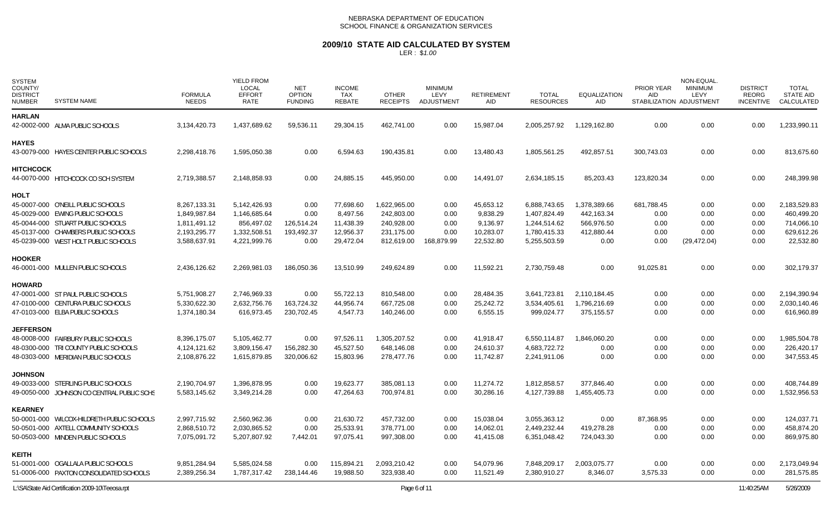# **2009/10 STATE AID CALCULATED BY SYSTEM**

| <b>SYSTEM</b><br>COUNTY/<br><b>DISTRICT</b><br><b>NUMBER</b> | <b>SYSTEM NAME</b>                         | <b>FORMULA</b><br><b>NEEDS</b> | <b>YIELD FROM</b><br><b>LOCAL</b><br><b>EFFORT</b><br>RATE | <b>NET</b><br><b>OPTION</b><br><b>FUNDING</b> | <b>INCOME</b><br>TAX<br>REBATE | <b>OTHER</b><br><b>RECEIPTS</b> | <b>MINIMUM</b><br>LEVY<br><b>ADJUSTMENT</b> | <b>RETIREMENT</b><br>AID | <b>TOTAL</b><br><b>RESOURCES</b> | <b>EQUALIZATION</b><br>AID | PRIOR YEAR<br>AID | NON-EQUAL.<br><b>MINIMUM</b><br>LEVY<br>STABILIZATION ADJUSTMENT | <b>DISTRICT</b><br><b>REORG</b><br><b>INCENTIVE</b> | <b>TOTAL</b><br><b>STATE AID</b><br>CALCULATED |
|--------------------------------------------------------------|--------------------------------------------|--------------------------------|------------------------------------------------------------|-----------------------------------------------|--------------------------------|---------------------------------|---------------------------------------------|--------------------------|----------------------------------|----------------------------|-------------------|------------------------------------------------------------------|-----------------------------------------------------|------------------------------------------------|
| <b>HARLAN</b>                                                | 42-0002-000 ALMA PUBLIC SCHOOLS            | 3,134,420.73                   | 1,437,689.62                                               | 59,536.11                                     | 29,304.15                      | 462,741.00                      | 0.00                                        | 15,987.04                | 2,005,257.92                     | 1,129,162.80               | 0.00              | 0.00                                                             | 0.00                                                | 1,233,990.11                                   |
|                                                              |                                            |                                |                                                            |                                               |                                |                                 |                                             |                          |                                  |                            |                   |                                                                  |                                                     |                                                |
| <b>HAYES</b>                                                 | 43-0079-000 HAYES CENTER PUBLIC SCHOOLS    | 2,298,418.76                   | 1,595,050.38                                               | 0.00                                          | 6,594.63                       | 190,435.81                      | 0.00                                        | 13,480.43                | 1,805,561.25                     | 492,857.51                 | 300,743.03        | 0.00                                                             | 0.00                                                | 813,675.60                                     |
| <b>HITCHCOCK</b>                                             |                                            |                                |                                                            |                                               |                                |                                 |                                             |                          |                                  |                            |                   |                                                                  |                                                     |                                                |
|                                                              | 44-0070-000 HITCHCOCK CO SCH SYSTEM        | 2,719,388.57                   | 2,148,858.93                                               | 0.00                                          | 24,885.15                      | 445,950.00                      | 0.00                                        | 14,491.07                | 2,634,185.15                     | 85,203.43                  | 123,820.34        | 0.00                                                             | 0.00                                                | 248,399.98                                     |
| <b>HOLT</b>                                                  |                                            |                                |                                                            |                                               |                                |                                 |                                             |                          |                                  |                            |                   |                                                                  |                                                     |                                                |
|                                                              | 45-0007-000 O'NEILL PUBLIC SCHOOLS         | 8,267,133.31                   | 5,142,426.93                                               | 0.00                                          | 77,698.60                      | 1,622,965.00                    | 0.00                                        | 45,653.12                | 6,888,743.65                     | 1,378,389.66               | 681,788.45        | 0.00                                                             | 0.00                                                | 2,183,529.83                                   |
|                                                              | 45-0029-000 EWING PUBLIC SCHOOLS           | 1,849,987.84                   | 1,146,685.64                                               | 0.00                                          | 8,497.56                       | 242,803.00                      | 0.00                                        | 9,838.29                 | 1,407,824.49                     | 442,163.34                 | 0.00              | 0.00                                                             | 0.00                                                | 460,499.20                                     |
|                                                              | 45-0044-000 STUART PUBLIC SCHOOLS          | 1,811,491.12                   | 856.497.02                                                 | 126,514.24                                    | 11,438.39                      | 240,928.00                      | 0.00                                        | 9.136.97                 | 1.244.514.62                     | 566.976.50                 | 0.00              | 0.00                                                             | 0.00                                                | 714.066.10                                     |
|                                                              | 45-0137-000 CHAMBERS PUBLIC SCHOOLS        | 2,193,295.77                   | 1,332,508.51                                               | 193,492.37                                    | 12,956.37                      | 231,175.00                      | 0.00                                        | 10,283.07                | 1,780,415.33                     | 412,880.44                 | 0.00              | 0.00                                                             | 0.00                                                | 629,612.26                                     |
|                                                              | 45-0239-000 WEST HOLT PUBLIC SCHOOLS       | 3,588,637.91                   | 4,221,999.76                                               | 0.00                                          | 29,472.04                      | 812,619.00                      | 168,879.99                                  | 22,532.80                | 5,255,503.59                     | 0.00                       | 0.00              | (29, 472.04)                                                     | 0.00                                                | 22,532.80                                      |
| <b>HOOKER</b>                                                |                                            |                                |                                                            |                                               |                                |                                 |                                             |                          |                                  |                            |                   |                                                                  |                                                     |                                                |
|                                                              | 46-0001-000 MULLEN PUBLIC SCHOOLS          | 2,436,126.62                   | 2,269,981.03                                               | 186,050.36                                    | 13,510.99                      | 249,624.89                      | 0.00                                        | 11,592.21                | 2,730,759.48                     | 0.00                       | 91,025.81         | 0.00                                                             | 0.00                                                | 302,179.37                                     |
| <b>HOWARD</b>                                                |                                            |                                |                                                            |                                               |                                |                                 |                                             |                          |                                  |                            |                   |                                                                  |                                                     |                                                |
|                                                              | 47-0001-000 ST PAUL PUBLIC SCHOOLS         | 5,751,908.27                   | 2,746,969.33                                               | 0.00                                          | 55,722.13                      | 810,548.00                      | 0.00                                        | 28,484.35                | 3,641,723.81                     | 2,110,184.45               | 0.00              | 0.00                                                             | 0.00                                                | 2,194,390.94                                   |
|                                                              | 47-0100-000 CENTURA PUBLIC SCHOOLS         | 5,330,622.30                   | 2,632,756.76                                               | 163,724.32                                    | 44,956.74                      | 667,725.08                      | 0.00                                        | 25,242.72                | 3,534,405.61                     | 1,796,216.69               | 0.00              | 0.00                                                             | 0.00                                                | 2,030,140.46                                   |
|                                                              | 47-0103-000 ELBA PUBLIC SCHOOLS            | 1,374,180.34                   | 616,973.45                                                 | 230,702.45                                    | 4,547.73                       | 140,246.00                      | 0.00                                        | 6,555.15                 | 999,024.77                       | 375,155.57                 | 0.00              | 0.00                                                             | 0.00                                                | 616,960.89                                     |
| <b>JEFFERSON</b>                                             |                                            |                                |                                                            |                                               |                                |                                 |                                             |                          |                                  |                            |                   |                                                                  |                                                     |                                                |
|                                                              | 48-0008-000 FAIRBURY PUBLIC SCHOOLS        | 8,396,175.07                   | 5,105,462.77                                               | 0.00                                          | 97,526.11                      | 1,305,207.52                    | 0.00                                        | 41,918.47                | 6,550,114.87                     | 1,846,060.20               | 0.00              | 0.00                                                             | 0.00                                                | 1,985,504.78                                   |
|                                                              | 48-0300-000 TRI COUNTY PUBLIC SCHOOLS      | 4,124,121.62                   | 3,809,156.47                                               | 156,282.30                                    | 45,527.50                      | 648,146.08                      | 0.00                                        | 24,610.37                | 4,683,722.72                     | 0.00                       | 0.00              | 0.00                                                             | 0.00                                                | 226,420.17                                     |
|                                                              | 48-0303-000 MERIDIAN PUBLIC SCHOOLS        | 2,108,876.22                   | 1,615,879.85                                               | 320,006.62                                    | 15,803.96                      | 278,477.76                      | 0.00                                        | 11,742.87                | 2,241,911.06                     | 0.00                       | 0.00              | 0.00                                                             | 0.00                                                | 347,553.45                                     |
| <b>JOHNSON</b>                                               |                                            |                                |                                                            |                                               |                                |                                 |                                             |                          |                                  |                            |                   |                                                                  |                                                     |                                                |
|                                                              | 49-0033-000 STERLING PUBLIC SCHOOLS        | 2,190,704.97                   | 1,396,878.95                                               | 0.00                                          | 19,623.77                      | 385,081.13                      | 0.00                                        | 11,274.72                | 1,812,858.57                     | 377.846.40                 | 0.00              | 0.00                                                             | 0.00                                                | 408,744.89                                     |
|                                                              | 49-0050-000 JOHNSON CO CENTRAL PUBLIC SCHS | 5,583,145.62                   | 3,349,214.28                                               | 0.00                                          | 47,264.63                      | 700,974.81                      | 0.00                                        | 30,286.16                | 4,127,739.88                     | 1,455,405.73               | 0.00              | 0.00                                                             | 0.00                                                | 1,532,956.53                                   |
| <b>KEARNEY</b>                                               |                                            |                                |                                                            |                                               |                                |                                 |                                             |                          |                                  |                            |                   |                                                                  |                                                     |                                                |
|                                                              | 50-0001-000 WILCOX-HILDRETH PUBLIC SCHOOLS | 2,997,715.92                   | 2,560,962.36                                               | 0.00                                          | 21,630.72                      | 457,732.00                      | 0.00                                        | 15.038.04                | 3,055,363.12                     | 0.00                       | 87,368.95         | 0.00                                                             | 0.00                                                | 124,037.71                                     |
|                                                              | 50-0501-000 AXTELL COMMUNITY SCHOOLS       | 2,868,510.72                   | 2,030,865.52                                               | 0.00                                          | 25,533.91                      | 378,771.00                      | 0.00                                        | 14,062.01                | 2,449,232.44                     | 419,278.28                 | 0.00              | 0.00                                                             | 0.00                                                | 458,874.20                                     |
|                                                              | 50-0503-000 MINDEN PUBLIC SCHOOLS          | 7,075,091.72                   | 5,207,807.92                                               | 7,442.01                                      | 97,075.41                      | 997,308.00                      | 0.00                                        | 41,415.08                | 6,351,048.42                     | 724,043.30                 | 0.00              | 0.00                                                             | 0.00                                                | 869,975.80                                     |
| KEITH                                                        |                                            |                                |                                                            |                                               |                                |                                 |                                             |                          |                                  |                            |                   |                                                                  |                                                     |                                                |
|                                                              | 51-0001-000 OGALLALA PUBLIC SCHOOLS        | 9,851,284.94                   | 5,585,024.58                                               | 0.00                                          | 115,894.21                     | 2,093,210.42                    | 0.00                                        | 54,079.96                | 7,848,209.17                     | 2,003,075.77               | 0.00              | 0.00                                                             | 0.00                                                | 2,173,049.94                                   |
|                                                              | 51-0006-000 PAXTON CONSOLIDATED SCHOOLS    | 2,389,256.34                   | 1,787,317.42                                               | 238,144.46                                    | 19,988.50                      | 323,938.40                      | 0.00                                        | 11,521.49                | 2,380,910.27                     | 8,346.07                   | 3,575.33          | 0.00                                                             | 0.00                                                | 281,575.85                                     |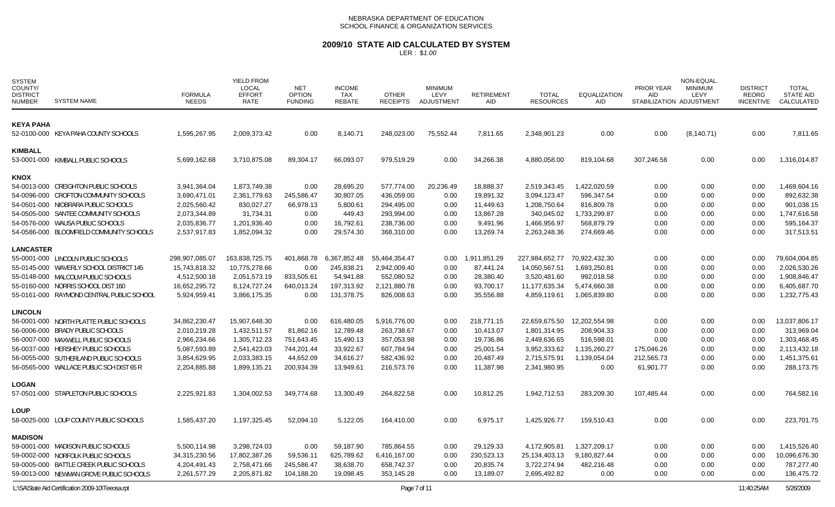## **2009/10 STATE AID CALCULATED BY SYSTEM**

| <b>SYSTEM</b><br>COUNTY/<br><b>DISTRICT</b><br><b>NUMBER</b> | <b>SYSTEM NAME</b>                               | <b>FORMULA</b><br><b>NEEDS</b> | <b>YIELD FROM</b><br><b>LOCAL</b><br><b>EFFORT</b><br><b>RATE</b> | <b>NET</b><br><b>OPTION</b><br><b>FUNDING</b> | <b>INCOME</b><br><b>TAX</b><br><b>REBATE</b> | <b>OTHER</b><br><b>RECEIPTS</b> | <b>MINIMUM</b><br><b>LEVY</b><br><b>ADJUSTMENT</b> | <b>RETIREMENT</b><br>AID | <b>TOTAL</b><br><b>RESOURCES</b> | <b>EQUALIZATION</b><br>AID | PRIOR YEAR<br><b>AID</b><br>STABILIZATION ADJUSTMENT | NON-EQUAL<br><b>MINIMUM</b><br>LEVY | <b>DISTRICT</b><br>REORG<br><b>INCENTIVE</b> | <b>TOTAL</b><br><b>STATE AID</b><br>CALCULATED |
|--------------------------------------------------------------|--------------------------------------------------|--------------------------------|-------------------------------------------------------------------|-----------------------------------------------|----------------------------------------------|---------------------------------|----------------------------------------------------|--------------------------|----------------------------------|----------------------------|------------------------------------------------------|-------------------------------------|----------------------------------------------|------------------------------------------------|
|                                                              |                                                  |                                |                                                                   |                                               |                                              |                                 |                                                    |                          |                                  |                            |                                                      |                                     |                                              |                                                |
| <b>KEYA PAHA</b>                                             |                                                  |                                |                                                                   |                                               |                                              |                                 |                                                    |                          |                                  |                            |                                                      |                                     |                                              |                                                |
|                                                              | 52-0100-000 KEYA PAHA COUNTY SCHOOLS             | 1,595,267.95                   | 2,009,373.42                                                      | 0.00                                          | 8,140.71                                     | 248,023.00                      | 75,552.44                                          | 7,811.65                 | 2,348,901.23                     | 0.00                       | 0.00                                                 | (8, 140.71)                         | 0.00                                         | 7,811.65                                       |
| <b>KIMBALL</b>                                               |                                                  |                                |                                                                   |                                               |                                              |                                 |                                                    |                          |                                  |                            |                                                      |                                     |                                              |                                                |
|                                                              | 53-0001-000 KIMBALL PUBLIC SCHOOLS               | 5,699,162.68                   | 3,710,875.08                                                      | 89,304.17                                     | 66,093.07                                    | 979,519.29                      | 0.00                                               | 34,266.38                | 4,880,058.00                     | 819,104.68                 | 307,246.56                                           | 0.00                                | 0.00                                         | 1,316,014.87                                   |
| <b>KNOX</b>                                                  |                                                  |                                |                                                                   |                                               |                                              |                                 |                                                    |                          |                                  |                            |                                                      |                                     |                                              |                                                |
|                                                              | 54-0013-000 CREIGHTON PUBLIC SCHOOLS             | 3,941,364.04                   | 1,873,749.38                                                      | 0.00                                          | 28,695.20                                    | 577,774.00                      | 20,236.49                                          | 18,888.37                | 2,519,343.45                     | 1,422,020.59               | 0.00                                                 | 0.00                                | 0.00                                         | 1,469,604.16                                   |
|                                                              | 54-0096-000 CROFTON COMMUNITY SCHOOLS            | 3,690,471.01                   | 2,361,779.63                                                      | 245,586.47                                    | 30,807.05                                    | 436,059.00                      | 0.00                                               | 19,891.32                | 3,094,123.47                     | 596,347.54                 | 0.00                                                 | 0.00                                | 0.00                                         | 892,632.38                                     |
|                                                              | 54-0501-000 NIOBRARA PUBLIC SCHOOLS              | 2,025,560.42                   | 830,027.27                                                        | 66,978.13                                     | 5,800.61                                     | 294,495.00                      | 0.00                                               | 11,449.63                | 1,208,750.64                     | 816,809.78                 | 0.00                                                 | 0.00                                | 0.00                                         | 901,038.15                                     |
|                                                              | 54-0505-000 SANTEE COMMUNITY SCHOOLS             | 2,073,344.89                   | 31,734.31                                                         | 0.00                                          | 449.43                                       | 293,994.00                      | 0.00                                               | 13,867.28                | 340,045.02                       | 1,733,299.87               | 0.00                                                 | 0.00                                | 0.00                                         | 1,747,616.58                                   |
|                                                              | 54-0576-000 WAUSA PUBLIC SCHOOLS                 | 2,035,836.77                   | 1,201,936.40                                                      | 0.00                                          | 16,792.61                                    | 238,736.00                      | 0.00                                               | 9,491.96                 | 1,466,956.97                     | 568.879.79                 | 0.00                                                 | 0.00                                | 0.00                                         | 595,164.37                                     |
|                                                              | 54-0586-000 BLOOMFIELD COMMUNITY SCHOOLS         | 2,537,917.83                   | 1,852,094.32                                                      | 0.00                                          | 29,574.30                                    | 368,310.00                      | 0.00                                               | 13,269.74                | 2,263,248.36                     | 274,669.46                 | 0.00                                                 | 0.00                                | 0.00                                         | 317,513.51                                     |
| <b>LANCASTER</b>                                             |                                                  |                                |                                                                   |                                               |                                              |                                 |                                                    |                          |                                  |                            |                                                      |                                     |                                              |                                                |
|                                                              | 55-0001-000 LINCOLN PUBLIC SCHOOLS               | 298,907,085.07                 | 163,838,725.75                                                    |                                               | 401,868.78 6,367,852.48                      | 55,464,354.47                   | 0.00                                               | 1,911,851.29             | 227,984,652.77                   | 70,922,432.30              | 0.00                                                 | 0.00                                | 0.00                                         | 79,604,004.85                                  |
|                                                              | 55-0145-000 WAVERLY SCHOOL DISTRICT 145          | 15,743,818.32                  | 10,775,278.66                                                     | 0.00                                          | 245,838.21                                   | 2,942,009.40                    | 0.00                                               | 87,441.24                | 14,050,567.51                    | 1,693,250.81               | 0.00                                                 | 0.00                                | 0.00                                         | 2,026,530.26                                   |
|                                                              | 55-0148-000 MALCOLM PUBLIC SCHOOLS               | 4,512,500.18                   | 2,051,573.19                                                      | 833,505.61                                    | 54,941.88                                    | 552,080.52                      | 0.00                                               | 28,380.40                | 3,520,481.60                     | 992,018.58                 | 0.00                                                 | 0.00                                | 0.00                                         | 1,908,846.47                                   |
|                                                              | 55-0160-000 NORRIS SCHOOL DIST 160               | 16,652,295.72                  | 8,124,727.24                                                      | 640,013.24                                    | 197,313.92                                   | 2,121,880.78                    | 0.00                                               | 93,700.17                | 11,177,635.34                    | 5,474,660.38               | 0.00                                                 | 0.00                                | 0.00                                         | 6,405,687.70                                   |
|                                                              | 55-0161-000 RAYMOND CENTRAL PUBLIC SCHOOL        | 5,924,959.41                   | 3,866,175.35                                                      | 0.00                                          | 131,378.75                                   | 826,008.63                      | 0.00                                               | 35,556.88                | 4,859,119.61                     | 1,065,839.80               | 0.00                                                 | 0.00                                | 0.00                                         | 1,232,775.43                                   |
| <b>LINCOLN</b>                                               |                                                  |                                |                                                                   |                                               |                                              |                                 |                                                    |                          |                                  |                            |                                                      |                                     |                                              |                                                |
|                                                              | 56-0001-000 NORTH PLATTE PUBLIC SCHOOLS          | 34,862,230.47                  | 15,907,648.30                                                     | 0.00                                          | 616,480.05                                   | 5,916,776.00                    | 0.00                                               | 218,771.15               | 22,659,675.50                    | 12,202,554.98              | 0.00                                                 | 0.00                                | 0.00                                         | 13,037,806.17                                  |
|                                                              | 56-0006-000 BRADY PUBLIC SCHOOLS                 | 2,010,219.28                   | 1,432,511.57                                                      | 81,862.16                                     | 12,789.48                                    | 263,738.67                      | 0.00                                               | 10,413.07                | 1,801,314.95                     | 208,904.33                 | 0.00                                                 | 0.00                                | 0.00                                         | 313,969.04                                     |
|                                                              | 56-0007-000 MAXWELL PUBLIC SCHOOLS               | 2,966,234.66                   | 1,305,712.23                                                      | 751.643.45                                    | 15,490.13                                    | 357.053.98                      | 0.00                                               | 19,736.86                | 2,449,636.65                     | 516,598.01                 | 0.00                                                 | 0.00                                | 0.00                                         | 1,303,468.45                                   |
|                                                              | 56-0037-000 HERSHEY PUBLIC SCHOOLS               | 5,087,593.89                   | 2,541,423.03                                                      | 744,201.44                                    | 33,922.67                                    | 607,784.94                      | 0.00                                               | 25,001.54                | 3,952,333.62                     | 1,135,260.27               | 175,046.26                                           | 0.00                                | 0.00                                         | 2,113,432.18                                   |
|                                                              | 56-0055-000 SUTHERLAND PUBLIC SCHOOLS            | 3,854,629.95                   | 2,033,383.15                                                      | 44,652.09                                     | 34,616.27                                    | 582,436.92                      | 0.00                                               | 20,487.49                | 2,715,575.91                     | 1,139,054.04               | 212,565.73                                           | 0.00                                | 0.00                                         | 1,451,375.61                                   |
|                                                              | 56-0565-000 WALLACE PUBLIC SCH DIST 65 R         | 2,204,885.88                   | 1,899,135.21                                                      | 200,934.39                                    | 13,949.61                                    | 216,573.76                      | 0.00                                               | 11,387.98                | 2,341,980.95                     | 0.00                       | 61,901.77                                            | 0.00                                | 0.00                                         | 288,173.75                                     |
| <b>LOGAN</b>                                                 |                                                  |                                |                                                                   |                                               |                                              |                                 |                                                    |                          |                                  |                            |                                                      |                                     |                                              |                                                |
|                                                              | 57-0501-000 STAPLETON PUBLIC SCHOOLS             | 2,225,921.83                   | 1,304,002.53                                                      | 349,774.68                                    | 13,300.49                                    | 264,822.58                      | 0.00                                               | 10,812.25                | 1,942,712.53                     | 283,209.30                 | 107,485.44                                           | 0.00                                | 0.00                                         | 764,582.16                                     |
| <b>LOUP</b>                                                  |                                                  |                                |                                                                   |                                               |                                              |                                 |                                                    |                          |                                  |                            |                                                      |                                     |                                              |                                                |
|                                                              | 58-0025-000 LOUP COUNTY PUBLIC SCHOOLS           | 1,585,437.20                   | 1,197,325.45                                                      | 52,094.10                                     | 5,122.05                                     | 164,410.00                      | 0.00                                               | 6,975.17                 | 1,425,926.77                     | 159,510.43                 | 0.00                                                 | 0.00                                | 0.00                                         | 223,701.75                                     |
| <b>MADISON</b>                                               |                                                  |                                |                                                                   |                                               |                                              |                                 |                                                    |                          |                                  |                            |                                                      |                                     |                                              |                                                |
|                                                              | 59-0001-000 MADISON PUBLIC SCHOOLS               | 5,500,114.98                   | 3,298,724.03                                                      | 0.00                                          | 59,187.90                                    | 785,864.55                      | 0.00                                               | 29,129.33                | 4,172,905.81                     | 1,327,209.17               | 0.00                                                 | 0.00                                | 0.00                                         | 1,415,526.40                                   |
|                                                              | 59-0002-000 NORFOLK PUBLIC SCHOOLS               | 34,315,230.56                  | 17,802,387.26                                                     | 59,536.11                                     | 625,789.62                                   | 6,416,167.00                    | 0.00                                               | 230,523.13               | 25,134,403.13                    | 9,180,827.44               | 0.00                                                 | 0.00                                | 0.00                                         | 10,096,676.30                                  |
|                                                              | 59-0005-000 BATTLE CREEK PUBLIC SCHOOLS          | 4,204,491.43                   | 2,758,471.66                                                      | 245,586.47                                    | 38,638.70                                    | 658,742.37                      | 0.00                                               | 20,835.74                | 3,722,274.94                     | 482,216.48                 | 0.00                                                 | 0.00                                | 0.00                                         | 787,277.40                                     |
|                                                              | 59-0013-000 NEWMAN GROVE PUBLIC SCHOOLS          | 2,261,577.29                   | 2,205,871.82                                                      | 104,188.20                                    | 19,098.45                                    | 353,145.28                      | 0.00                                               | 13,189.07                | 2,695,492.82                     | 0.00                       | 0.00                                                 | 0.00                                | 0.00                                         | 136,475.72                                     |
|                                                              | L:\SA\State Aid Certification 2009-10\Teeosa.rpt |                                |                                                                   |                                               |                                              |                                 | Page 7 of 11                                       |                          |                                  |                            |                                                      |                                     | 11:40:25AM                                   | 5/26/2009                                      |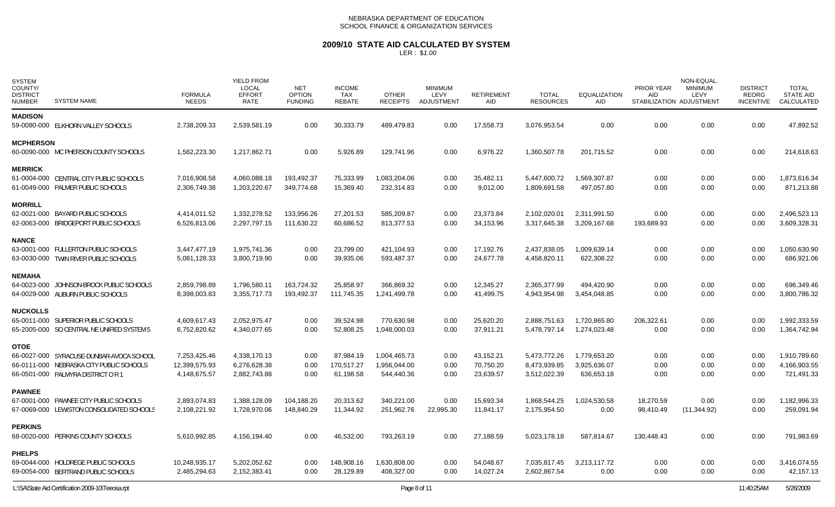# **2009/10 STATE AID CALCULATED BY SYSTEM**

| <b>SYSTEM</b><br>COUNTY/<br><b>DISTRICT</b><br><b>NUMBER</b><br><b>SYSTEM NAME</b> | <b>FORMULA</b><br><b>NEEDS</b> | <b>YIELD FROM</b><br>LOCAL<br><b>EFFORT</b><br>RATE | <b>NET</b><br><b>OPTION</b><br><b>FUNDING</b> | <b>INCOME</b><br>TAX<br><b>REBATE</b> | <b>OTHER</b><br><b>RECEIPTS</b> | <b>MINIMUM</b><br>LEVY<br><b>ADJUSTMENT</b> | <b>RETIREMENT</b><br>AID | <b>TOTAL</b><br><b>RESOURCES</b> | <b>EQUALIZATION</b><br>AID | PRIOR YEAR<br>AID. | NON-EQUAL<br><b>MINIMUM</b><br>LEVY<br>STABILIZATION ADJUSTMENT | <b>DISTRICT</b><br><b>REORG</b><br><b>INCENTIVE</b> | <b>TOTAL</b><br><b>STATE AID</b><br>CALCULATED |
|------------------------------------------------------------------------------------|--------------------------------|-----------------------------------------------------|-----------------------------------------------|---------------------------------------|---------------------------------|---------------------------------------------|--------------------------|----------------------------------|----------------------------|--------------------|-----------------------------------------------------------------|-----------------------------------------------------|------------------------------------------------|
| <b>MADISON</b>                                                                     |                                |                                                     |                                               |                                       |                                 |                                             |                          |                                  |                            |                    |                                                                 |                                                     |                                                |
| 59-0080-000 ELKHORN VALLEY SCHOOLS                                                 | 2,738,209.33                   | 2,539,581.19                                        | 0.00                                          | 30,333.79                             | 489,479.83                      | 0.00                                        | 17,558.73                | 3,076,953.54                     | 0.00                       | 0.00               | 0.00                                                            | 0.00                                                | 47,892.52                                      |
| <b>MCPHERSON</b>                                                                   |                                |                                                     |                                               |                                       |                                 |                                             |                          |                                  |                            |                    |                                                                 |                                                     |                                                |
| 60-0090-000 MC PHERSON COUNTY SCHOOLS                                              | 1,562,223.30                   | 1,217,862.71                                        | 0.00                                          | 5,926.89                              | 129,741.96                      | 0.00                                        | 6,976.22                 | 1,360,507.78                     | 201,715.52                 | 0.00               | 0.00                                                            | 0.00                                                | 214,618.63                                     |
| <b>MERRICK</b>                                                                     |                                |                                                     |                                               |                                       |                                 |                                             |                          |                                  |                            |                    |                                                                 |                                                     |                                                |
| 61-0004-000 CENTRAL CITY PUBLIC SCHOOLS                                            | 7,016,908.58                   | 4,060,088.18                                        | 193,492.37                                    | 75,333.99                             | 1,083,204.06                    | 0.00                                        | 35,482.11                | 5,447,600.72                     | 1,569,307.87               | 0.00               | 0.00                                                            | 0.00                                                | 1,873,616.34                                   |
| 61-0049-000 PALMER PUBLIC SCHOOLS                                                  | 2,306,749.38                   | 1,203,220.67                                        | 349,774.68                                    | 15,369.40                             | 232,314.83                      | 0.00                                        | 9,012.00                 | 1,809,691.58                     | 497,057.80                 | 0.00               | 0.00                                                            | 0.00                                                | 871,213.88                                     |
| <b>MORRILL</b>                                                                     |                                |                                                     |                                               |                                       |                                 |                                             |                          |                                  |                            |                    |                                                                 |                                                     |                                                |
| 62-0021-000 BAYARD PUBLIC SCHOOLS                                                  | 4,414,011.52                   | 1,332,278.52                                        | 133,956.26                                    | 27,201.53                             | 585,209.87                      | 0.00                                        | 23,373.84                | 2,102,020.01                     | 2,311,991.50               | 0.00               | 0.00                                                            | 0.00                                                | 2,496,523.13                                   |
| 62-0063-000 BRIDGEPORT PUBLIC SCHOOLS                                              | 6,526,813.06                   | 2,297,797.15                                        | 111,630.22                                    | 60,686.52                             | 813,377.53                      | 0.00                                        | 34,153.96                | 3,317,645.38                     | 3,209,167.68               | 193,689.93         | 0.00                                                            | 0.00                                                | 3,609,328.31                                   |
| <b>NANCE</b>                                                                       |                                |                                                     |                                               |                                       |                                 |                                             |                          |                                  |                            |                    |                                                                 |                                                     |                                                |
| 63-0001-000 FULLERTON PUBLIC SCHOOLS                                               | 3,447,477.19                   | 1,975,741.36                                        | 0.00                                          | 23,799.00                             | 421,104.93                      | 0.00                                        | 17,192.76                | 2,437,838.05                     | 1,009,639.14               | 0.00               | 0.00                                                            | 0.00                                                | 1,050,630.90                                   |
| 63-0030-000 TWIN RIVER PUBLIC SCHOOLS                                              | 5,081,128.33                   | 3,800,719.90                                        | 0.00                                          | 39,935.06                             | 593,487.37                      | 0.00                                        | 24,677.78                | 4,458,820.11                     | 622,308.22                 | 0.00               | 0.00                                                            | 0.00                                                | 686,921.06                                     |
| <b>NEMAHA</b>                                                                      |                                |                                                     |                                               |                                       |                                 |                                             |                          |                                  |                            |                    |                                                                 |                                                     |                                                |
| 64-0023-000 JOHNSON-BROCK PUBLIC SCHOOLS                                           | 2,859,798.89                   | 1,796,580.11                                        | 163,724.32                                    | 25.858.97                             | 366.869.32                      | 0.00                                        | 12,345.27                | 2,365,377.99                     | 494.420.90                 | 0.00               | 0.00                                                            | 0.00                                                | 696.349.46                                     |
| 64-0029-000 AUBURN PUBLIC SCHOOLS                                                  | 8,398,003.83                   | 3,355,717.73                                        | 193,492.37                                    | 111,745.35                            | 1,241,499.78                    | 0.00                                        | 41,499.75                | 4,943,954.98                     | 3,454,048.85               | 0.00               | 0.00                                                            | 0.00                                                | 3,800,786.32                                   |
| <b>NUCKOLLS</b>                                                                    |                                |                                                     |                                               |                                       |                                 |                                             |                          |                                  |                            |                    |                                                                 |                                                     |                                                |
| 65-0011-000 SUPERIOR PUBLIC SCHOOLS                                                | 4,609,617.43                   | 2,052,975.47                                        | 0.00                                          | 39,524.98                             | 770,630.98                      | 0.00                                        | 25,620.20                | 2,888,751.63                     | 1,720,865.80               | 206,322.61         | 0.00                                                            | 0.00                                                | 1,992,333.59                                   |
| 65-2005-000 SO CENTRAL NE UNIFIED SYSTEM 5                                         | 6,752,820.62                   | 4,340,077.65                                        | 0.00                                          | 52,808.25                             | 1,048,000.03                    | 0.00                                        | 37,911.21                | 5,478,797.14                     | 1,274,023.48               | 0.00               | 0.00                                                            | 0.00                                                | 1,364,742.94                                   |
| <b>OTOE</b>                                                                        |                                |                                                     |                                               |                                       |                                 |                                             |                          |                                  |                            |                    |                                                                 |                                                     |                                                |
| 66-0027-000 SYRACUSE-DUNBAR-AVOCA SCHOOL                                           | 7,253,425.46                   | 4,338,170.13                                        | 0.00                                          | 87,984.19                             | 1,004,465.73                    | 0.00                                        | 43,152.21                | 5,473,772.26                     | 1,779,653.20               | 0.00               | 0.00                                                            | 0.00                                                | 1,910,789.60                                   |
| 66-0111-000 NEBRASKA CITY PUBLIC SCHOOLS                                           | 12,399,575.93                  | 6,276,628.38                                        | 0.00                                          | 170,517.27                            | 1,956,044.00                    | 0.00                                        | 70,750.20                | 8,473,939.85                     | 3,925,636.07               | 0.00               | 0.00                                                            | 0.00                                                | 4,166,903.55                                   |
| 66-0501-000 PALMYRA DISTRICT OR 1                                                  | 4,148,675.57                   | 2,882,743.88                                        | 0.00                                          | 61,198.58                             | 544,440.36                      | 0.00                                        | 23,639.57                | 3,512,022.39                     | 636,653.18                 | 0.00               | 0.00                                                            | 0.00                                                | 721,491.33                                     |
| <b>PAWNEE</b>                                                                      |                                |                                                     |                                               |                                       |                                 |                                             |                          |                                  |                            |                    |                                                                 |                                                     |                                                |
| 67-0001-000 PAWNEE CITY PUBLIC SCHOOLS                                             | 2,893,074.83                   | 1,388,128.09                                        | 104,188.20                                    | 20,313.62                             | 340,221.00                      | 0.00                                        | 15,693.34                | 1,868,544.25                     | 1,024,530.58               | 18,270.59          | 0.00                                                            | 0.00                                                | 1,182,996.33                                   |
| 67-0069-000 LEWISTON CONSOLIDATED SCHOOLS                                          | 2,108,221.92                   | 1,728,970.06                                        | 148,840.29                                    | 11,344.92                             | 251,962.76                      | 22,995.30                                   | 11,841.17                | 2,175,954.50                     | 0.00                       | 98,410.49          | (11, 344.92)                                                    | 0.00                                                | 259,091.94                                     |
| <b>PERKINS</b>                                                                     |                                |                                                     |                                               |                                       |                                 |                                             |                          |                                  |                            |                    |                                                                 |                                                     |                                                |
| 68-0020-000 PERKINS COUNTY SCHOOLS                                                 | 5,610,992.85                   | 4,156,194.40                                        | 0.00                                          | 46,532.00                             | 793,263.19                      | 0.00                                        | 27,188.59                | 5,023,178.18                     | 587,814.67                 | 130,448.43         | 0.00                                                            | 0.00                                                | 791,983.69                                     |
| <b>PHELPS</b>                                                                      |                                |                                                     |                                               |                                       |                                 |                                             |                          |                                  |                            |                    |                                                                 |                                                     |                                                |
| 69-0044-000 HOLDREGE PUBLIC SCHOOLS                                                | 10,248,935.17                  | 5,202,052.62                                        | 0.00                                          | 148.908.16                            | 1,630,808.00                    | 0.00                                        | 54,048.67                | 7,035,817.45                     | 3,213,117.72               | 0.00               | 0.00                                                            | 0.00                                                | 3,416,074.55                                   |
| 69-0054-000 BERTRAND PUBLIC SCHOOLS                                                | 2,485,294.63                   | 2,152,383.41                                        | 0.00                                          | 28,129.89                             | 408,327.00                      | 0.00                                        | 14,027.24                | 2,602,867.54                     | 0.00                       | 0.00               | 0.00                                                            | 0.00                                                | 42,157.13                                      |
| L:\SA\State Aid Certification 2009-10\Teeosa.rpt                                   |                                |                                                     |                                               |                                       | Page 8 of 11                    |                                             |                          |                                  |                            |                    |                                                                 | 11:40:25AM                                          | 5/26/2009                                      |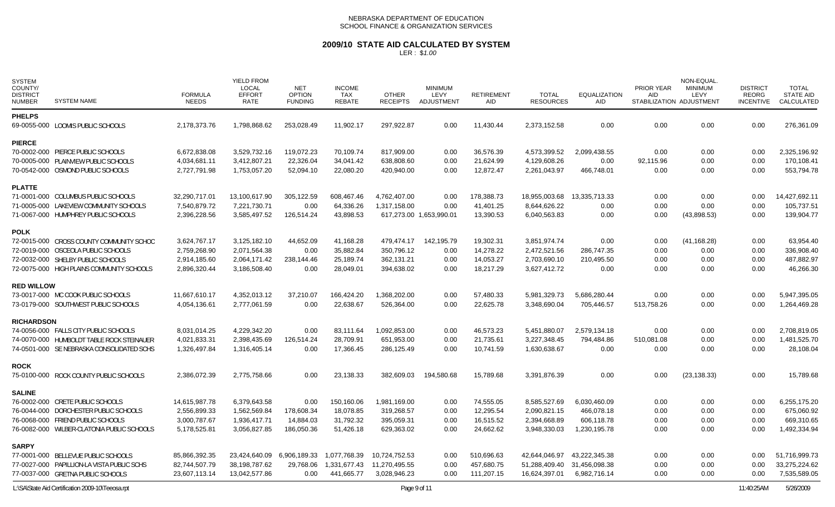# **2009/10 STATE AID CALCULATED BY SYSTEM**

| <b>SYSTEM</b><br>COUNTY/<br><b>DISTRICT</b><br><b>NUMBER</b> | <b>SYSTEM NAME</b>                               | <b>FORMULA</b><br><b>NEEDS</b> | <b>YIELD FROM</b><br><b>LOCAL</b><br><b>EFFORT</b><br><b>RATE</b> | <b>NET</b><br><b>OPTION</b><br><b>FUNDING</b> | <b>INCOME</b><br>TAX<br><b>REBATE</b> | <b>OTHER</b><br><b>RECEIPTS</b> | <b>MINIMUM</b><br>LEVY<br><b>ADJUSTMENT</b> | <b>RETIREMENT</b><br><b>AID</b> | <b>TOTAL</b><br><b>RESOURCES</b> | <b>EQUALIZATION</b><br><b>AID</b> | <b>PRIOR YEAR</b><br>AID | NON-EQUAL.<br><b>MINIMUM</b><br>LEVY<br>STABILIZATION ADJUSTMENT | <b>DISTRICT</b><br>REORG<br><b>INCENTIVE</b> | <b>TOTAL</b><br><b>STATE AID</b><br>CALCULATED |
|--------------------------------------------------------------|--------------------------------------------------|--------------------------------|-------------------------------------------------------------------|-----------------------------------------------|---------------------------------------|---------------------------------|---------------------------------------------|---------------------------------|----------------------------------|-----------------------------------|--------------------------|------------------------------------------------------------------|----------------------------------------------|------------------------------------------------|
| <b>PHELPS</b>                                                |                                                  |                                |                                                                   |                                               |                                       |                                 |                                             |                                 |                                  |                                   |                          |                                                                  |                                              |                                                |
|                                                              | 69-0055-000 LOOMIS PUBLIC SCHOOLS                | 2,178,373.76                   | 1,798,868.62                                                      | 253,028.49                                    | 11,902.17                             | 297,922.87                      | 0.00                                        | 11,430.44                       | 2,373,152.58                     | 0.00                              | 0.00                     | 0.00                                                             | 0.00                                         | 276,361.09                                     |
| <b>PIERCE</b>                                                |                                                  |                                |                                                                   |                                               |                                       |                                 |                                             |                                 |                                  |                                   |                          |                                                                  |                                              |                                                |
|                                                              | 70-0002-000 PIERCE PUBLIC SCHOOLS                | 6,672,838.08                   | 3,529,732.16                                                      | 119,072.23                                    | 70,109.74                             | 817,909.00                      | 0.00                                        | 36.576.39                       | 4,573,399.52                     | 2,099,438.55                      | 0.00                     | 0.00                                                             | 0.00                                         | 2,325,196.92                                   |
|                                                              | 70-0005-000 PLAINVIEW PUBLIC SCHOOLS             | 4,034,681.11                   | 3,412,807.21                                                      | 22,326.04                                     | 34,041.42                             | 638,808.60                      | 0.00                                        | 21,624.99                       | 4,129,608.26                     | 0.00                              | 92,115.96                | 0.00                                                             | 0.00                                         | 170,108.41                                     |
|                                                              | 70-0542-000 OSMOND PUBLIC SCHOOLS                | 2,727,791.98                   | 1,753,057.20                                                      | 52,094.10                                     | 22,080.20                             | 420,940.00                      | 0.00                                        | 12,872.47                       | 2,261,043.97                     | 466,748.01                        | 0.00                     | 0.00                                                             | 0.00                                         | 553,794.78                                     |
| <b>PLATTE</b>                                                |                                                  |                                |                                                                   |                                               |                                       |                                 |                                             |                                 |                                  |                                   |                          |                                                                  |                                              |                                                |
|                                                              | 71-0001-000 COLUMBUS PUBLIC SCHOOLS              | 32,290,717.01                  | 13,100,617.90                                                     | 305,122.59                                    | 608,467.46                            | 4,762,407.00                    | 0.00                                        | 178,388.73                      | 18,955,003.68                    | 13,335,713.33                     | 0.00                     | 0.00                                                             | 0.00                                         | 14,427,692.11                                  |
|                                                              | 71-0005-000 LAKEVIEW COMMUNITY SCHOOLS           | 7,540,879.72                   | 7,221,730.71                                                      | 0.00                                          | 64,336.26                             | 1,317,158.00                    | 0.00                                        | 41,401.25                       | 8,644,626.22                     | 0.00                              | 0.00                     | 0.00                                                             | 0.00                                         | 105,737.51                                     |
|                                                              | 71-0067-000 HUMPHREY PUBLIC SCHOOLS              | 2,396,228.56                   | 3,585,497.52                                                      | 126,514.24                                    | 43,898.53                             |                                 | 617,273.00 1,653,990.01                     | 13,390.53                       | 6,040,563.83                     | 0.00                              | 0.00                     | (43,898.53)                                                      | 0.00                                         | 139,904.77                                     |
| <b>POLK</b>                                                  |                                                  |                                |                                                                   |                                               |                                       |                                 |                                             |                                 |                                  |                                   |                          |                                                                  |                                              |                                                |
|                                                              | 72-0015-000 CROSS COUNTY COMMUNITY SCHOO         | 3,624,767.17                   | 3,125,182.10                                                      | 44,652.09                                     | 41,168.28                             | 479,474.17                      | 142,195.79                                  | 19,302.31                       | 3,851,974.74                     | 0.00                              | 0.00                     | (41, 168.28)                                                     | 0.00                                         | 63.954.40                                      |
|                                                              | 72-0019-000 OSCEOLA PUBLIC SCHOOLS               | 2,759,268.90                   | 2,071,564.38                                                      | 0.00                                          | 35,882.84                             | 350,796.12                      | 0.00                                        | 14,278.22                       | 2,472,521.56                     | 286,747.35                        | 0.00                     | 0.00                                                             | 0.00                                         | 336,908.40                                     |
|                                                              | 72-0032-000 SHELBY PUBLIC SCHOOLS                | 2,914,185.60                   | 2,064,171.42                                                      | 238,144.46                                    | 25,189.74                             | 362,131.21                      | 0.00                                        | 14,053.27                       | 2,703,690.10                     | 210,495.50                        | 0.00                     | 0.00                                                             | 0.00                                         | 487,882.97                                     |
|                                                              | 72-0075-000 HIGH PLAINS COMMUNITY SCHOOLS        | 2,896,320.44                   | 3,186,508.40                                                      | 0.00                                          | 28,049.01                             | 394,638.02                      | 0.00                                        | 18,217.29                       | 3,627,412.72                     | 0.00                              | 0.00                     | 0.00                                                             | 0.00                                         | 46,266.30                                      |
| <b>RED WILLOW</b>                                            |                                                  |                                |                                                                   |                                               |                                       |                                 |                                             |                                 |                                  |                                   |                          |                                                                  |                                              |                                                |
|                                                              | 73-0017-000 MC COOK PUBLIC SCHOOLS               | 11,667,610.17                  | 4.352.013.12                                                      | 37.210.07                                     | 166,424.20                            | 1,368,202.00                    | 0.00                                        | 57,480.33                       | 5,981,329.73                     | 5,686,280.44                      | 0.00                     | 0.00                                                             | 0.00                                         | 5,947,395.05                                   |
|                                                              | 73-0179-000 SOUTHWEST PUBLIC SCHOOLS             | 4,054,136.61                   | 2,777,061.59                                                      | 0.00                                          | 22,638.67                             | 526,364.00                      | 0.00                                        | 22,625.78                       | 3,348,690.04                     | 705,446.57                        | 513,758.26               | 0.00                                                             | 0.00                                         | 1,264,469.28                                   |
| <b>RICHARDSON</b>                                            |                                                  |                                |                                                                   |                                               |                                       |                                 |                                             |                                 |                                  |                                   |                          |                                                                  |                                              |                                                |
|                                                              | 74-0056-000 FALLS CITY PUBLIC SCHOOLS            | 8,031,014.25                   | 4,229,342.20                                                      | 0.00                                          | 83,111.64                             | 1,092,853.00                    | 0.00                                        | 46,573.23                       | 5,451,880.07                     | 2,579,134.18                      | 0.00                     | 0.00                                                             | 0.00                                         | 2,708,819.05                                   |
|                                                              | 74-0070-000 HUMBOLDT TABLE ROCK STEINAUER        | 4,021,833.31                   | 2,398,435.69                                                      | 126,514.24                                    | 28,709.91                             | 651,953.00                      | 0.00                                        | 21,735.61                       | 3,227,348.45                     | 794,484.86                        | 510,081.08               | 0.00                                                             | 0.00                                         | 1,481,525.70                                   |
|                                                              | 74-0501-000 SE NEBRASKA CONSOLIDATED SCHS        | 1,326,497.84                   | 1,316,405.14                                                      | 0.00                                          | 17,366.45                             | 286,125.49                      | 0.00                                        | 10,741.59                       | 1,630,638.67                     | 0.00                              | 0.00                     | 0.00                                                             | 0.00                                         | 28,108.04                                      |
| <b>ROCK</b>                                                  |                                                  |                                |                                                                   |                                               |                                       |                                 |                                             |                                 |                                  |                                   |                          |                                                                  |                                              |                                                |
|                                                              | 75-0100-000 ROCK COUNTY PUBLIC SCHOOLS           | 2,386,072.39                   | 2,775,758.66                                                      | 0.00                                          | 23,138.33                             | 382,609.03                      | 194,580.68                                  | 15,789.68                       | 3,391,876.39                     | 0.00                              | 0.00                     | (23, 138.33)                                                     | 0.00                                         | 15,789.68                                      |
| <b>SALINE</b>                                                |                                                  |                                |                                                                   |                                               |                                       |                                 |                                             |                                 |                                  |                                   |                          |                                                                  |                                              |                                                |
|                                                              | 76-0002-000 CRETE PUBLIC SCHOOLS                 | 14,615,987.78                  | 6,379,643.58                                                      | 0.00                                          | 150,160.06                            | 1,981,169.00                    | 0.00                                        | 74,555.05                       | 8,585,527.69                     | 6,030,460.09                      | 0.00                     | 0.00                                                             | 0.00                                         | 6,255,175.20                                   |
|                                                              | 76-0044-000 DORCHESTER PUBLIC SCHOOLS            | 2,556,899.33                   | 1,562,569.84                                                      | 178,608.34                                    | 18,078.85                             | 319,268.57                      | 0.00                                        | 12,295.54                       | 2,090,821.15                     | 466,078.18                        | 0.00                     | 0.00                                                             | 0.00                                         | 675,060.92                                     |
|                                                              | 76-0068-000 FRIEND PUBLIC SCHOOLS                | 3,000,787.67                   | 1,936,417.71                                                      | 14,884.03                                     | 31,792.32                             | 395,059.31                      | 0.00                                        | 16,515.52                       | 2,394,668.89                     | 606,118.78                        | 0.00                     | 0.00                                                             | 0.00                                         | 669,310.65                                     |
|                                                              | 76-0082-000 WILBER-CLATONIA PUBLIC SCHOOLS       | 5,178,525.81                   | 3,056,827.85                                                      | 186,050.36                                    | 51,426.18                             | 629,363.02                      | 0.00                                        | 24,662.62                       | 3,948,330.03                     | 1,230,195.78                      | 0.00                     | 0.00                                                             | 0.00                                         | 1,492,334.94                                   |
| <b>SARPY</b>                                                 |                                                  |                                |                                                                   |                                               |                                       |                                 |                                             |                                 |                                  |                                   |                          |                                                                  |                                              |                                                |
|                                                              | 77-0001-000 BELLEVUE PUBLIC SCHOOLS              | 85,866,392.35                  | 23,424,640.09                                                     | 6,906,189.33                                  | 1,077,768.39                          | 10,724,752.53                   | 0.00                                        | 510,696.63                      | 42,644,046.97                    | 43,222,345.38                     | 0.00                     | 0.00                                                             | 0.00                                         | 51,716,999.73                                  |
|                                                              | 77-0027-000 PAPILLION-LA VISTA PUBLIC SCHS       | 82,744,507.79                  | 38,198,787.62                                                     | 29,768.06                                     | 1,331,677.43                          | 11,270,495.55                   | 0.00                                        | 457,680.75                      | 51,288,409.40                    | 31,456,098.38                     | 0.00                     | 0.00                                                             | 0.00                                         | 33,275,224.62                                  |
|                                                              | 77-0037-000 GRETNA PUBLIC SCHOOLS                | 23,607,113.14                  | 13,042,577.86                                                     | 0.00                                          | 441,665.77                            | 3,028,946.23                    | 0.00                                        | 111,207.15                      | 16,624,397.01                    | 6,982,716.14                      | 0.00                     | 0.00                                                             | 0.00                                         | 7,535,589.05                                   |
|                                                              | L:\SA\State Aid Certification 2009-10\Teeosa.rpt |                                |                                                                   |                                               |                                       | Page 9 of 11                    |                                             |                                 |                                  |                                   |                          |                                                                  | 11:40:25AM                                   | 5/26/2009                                      |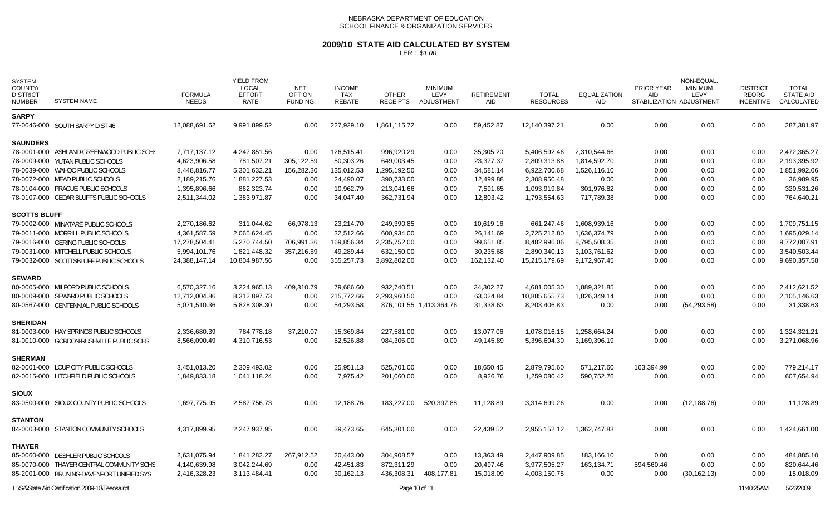### **2009/10 STATE AID CALCULATED BY SYSTEM**

| <b>SYSTEM</b><br>COUNTY/<br><b>DISTRICT</b><br><b>NUMBER</b> | <b>SYSTEM NAME</b>                               | <b>FORMULA</b><br><b>NEEDS</b> | <b>YIELD FROM</b><br><b>LOCAL</b><br><b>EFFORT</b><br><b>RATE</b> | <b>NET</b><br><b>OPTION</b><br><b>FUNDING</b> | <b>INCOME</b><br><b>TAX</b><br><b>REBATE</b> | <b>OTHER</b><br><b>RECEIPTS</b> | <b>MINIMUM</b><br>LEVY<br><b>ADJUSTMENT</b> | <b>RETIREMENT</b><br>AID | <b>TOTAL</b><br><b>RESOURCES</b> | <b>EQUALIZATION</b><br><b>AID</b> | PRIOR YEAR<br><b>AID</b> | NON-EQUAL.<br><b>MINIMUM</b><br>LEVY<br>STABILIZATION ADJUSTMENT | <b>DISTRICT</b><br><b>REORG</b><br><b>INCENTIVE</b> | <b>TOTAL</b><br><b>STATE AID</b><br>CALCULATED |
|--------------------------------------------------------------|--------------------------------------------------|--------------------------------|-------------------------------------------------------------------|-----------------------------------------------|----------------------------------------------|---------------------------------|---------------------------------------------|--------------------------|----------------------------------|-----------------------------------|--------------------------|------------------------------------------------------------------|-----------------------------------------------------|------------------------------------------------|
| <b>SARPY</b>                                                 |                                                  |                                |                                                                   |                                               |                                              |                                 |                                             |                          |                                  |                                   |                          |                                                                  |                                                     |                                                |
|                                                              | 77-0046-000 SOUTH SARPY DIST 46                  | 12,088,691.62                  | 9,991,899.52                                                      | 0.00                                          | 227,929.10                                   | 1,861,115.72                    | 0.00                                        | 59,452.87                | 12,140,397.21                    | 0.00                              | 0.00                     | 0.00                                                             | 0.00                                                | 287,381.97                                     |
| <b>SAUNDERS</b>                                              |                                                  |                                |                                                                   |                                               |                                              |                                 |                                             |                          |                                  |                                   |                          |                                                                  |                                                     |                                                |
|                                                              | 78-0001-000 ASHLAND-GREENWOOD PUBLIC SCHS        | 7.717.137.12                   | 4.247.851.56                                                      | 0.00                                          | 126,515.41                                   | 996,920.29                      | 0.00                                        | 35,305.20                | 5,406,592.46                     | 2,310,544.66                      | 0.00                     | 0.00                                                             | 0.00                                                | 2,472,365.27                                   |
|                                                              | 78-0009-000 YUTAN PUBLIC SCHOOLS                 | 4,623,906.58                   | 1,781,507.21                                                      | 305,122.59                                    | 50,303.26                                    | 649,003.45                      | 0.00                                        | 23,377.37                | 2,809,313.88                     | 1,814,592.70                      | 0.00                     | 0.00                                                             | 0.00                                                | 2,193,395.92                                   |
|                                                              | 78-0039-000 WAHOO PUBLIC SCHOOLS                 | 8,448,816.77                   | 5,301,632.21                                                      | 156,282.30                                    | 135,012.53                                   | 1,295,192.50                    | 0.00                                        | 34,581.14                | 6,922,700.68                     | 1,526,116.10                      | 0.00                     | 0.00                                                             | 0.00                                                | 1,851,992.06                                   |
|                                                              | 78-0072-000 MEAD PUBLIC SCHOOLS                  | 2,189,215.76                   | 1,881,227.53                                                      | 0.00                                          | 24,490.07                                    | 390,733.00                      | 0.00                                        | 12,499.88                | 2,308,950.48                     | 0.00                              | 0.00                     | 0.00                                                             | 0.00                                                | 36,989.95                                      |
|                                                              | 78-0104-000 PRAGUE PUBLIC SCHOOLS                | 1,395,896.66                   | 862,323.74                                                        | 0.00                                          | 10,962.79                                    | 213,041.66                      | 0.00                                        | 7,591.65                 | 1,093,919.84                     | 301,976.82                        | 0.00                     | 0.00                                                             | 0.00                                                | 320,531.26                                     |
|                                                              | 78-0107-000 CEDAR BLUFFS PUBLIC SCHOOLS          | 2,511,344.02                   | 1,383,971.87                                                      | 0.00                                          | 34,047.40                                    | 362,731.94                      | 0.00                                        | 12,803.42                | 1,793,554.63                     | 717,789.38                        | 0.00                     | 0.00                                                             | 0.00                                                | 764,640.21                                     |
| <b>SCOTTS BLUFF</b>                                          |                                                  |                                |                                                                   |                                               |                                              |                                 |                                             |                          |                                  |                                   |                          |                                                                  |                                                     |                                                |
|                                                              | 79-0002-000 MINATARE PUBLIC SCHOOLS              | 2,270,186.62                   | 311,044.62                                                        | 66,978.13                                     | 23,214.70                                    | 249.390.85                      | 0.00                                        | 10.619.16                | 661.247.46                       | 1,608,939.16                      | 0.00                     | 0.00                                                             | 0.00                                                | 1,709,751.15                                   |
|                                                              | 79-0011-000 MORRILL PUBLIC SCHOOLS               | 4,361,587.59                   | 2,065,624.45                                                      | 0.00                                          | 32,512.66                                    | 600,934.00                      | 0.00                                        | 26,141.69                | 2,725,212.80                     | 1,636,374.79                      | 0.00                     | 0.00                                                             | 0.00                                                | 1,695,029.14                                   |
|                                                              | 79-0016-000 GERING PUBLIC SCHOOLS                | 17,278,504.41                  | 5,270,744.50                                                      | 706,991.36                                    | 169,856.34                                   | 2,235,752.00                    | 0.00                                        | 99,651.85                | 8,482,996.06                     | 8,795,508.35                      | 0.00                     | 0.00                                                             | 0.00                                                | 9,772,007.91                                   |
|                                                              | 79-0031-000 MITCHELL PUBLIC SCHOOLS              | 5,994,101.76                   | 1,821,448.32                                                      | 357,216.69                                    | 49,289.44                                    | 632,150.00                      | 0.00                                        | 30,235.68                | 2,890,340.13                     | 3,103,761.62                      | 0.00                     | 0.00                                                             | 0.00                                                | 3,540,503.44                                   |
|                                                              | 79-0032-000 SCOTTSBLUFF PUBLIC SCHOOLS           | 24,388,147.14                  | 10,804,987.56                                                     | 0.00                                          | 355,257.73                                   | 3,892,802.00                    | 0.00                                        | 162,132.40               | 15,215,179.69                    | 9,172,967.45                      | 0.00                     | 0.00                                                             | 0.00                                                | 9,690,357.58                                   |
| <b>SEWARD</b>                                                |                                                  |                                |                                                                   |                                               |                                              |                                 |                                             |                          |                                  |                                   |                          |                                                                  |                                                     |                                                |
|                                                              | 80-0005-000 MILFORD PUBLIC SCHOOLS               | 6,570,327.16                   | 3,224,965.13                                                      | 409,310.79                                    | 79.686.60                                    | 932.740.51                      | 0.00                                        | 34,302.27                | 4,681,005.30                     | 1,889,321.85                      | 0.00                     | 0.00                                                             | 0.00                                                | 2,412,621.52                                   |
|                                                              | 80-0009-000 SEWARD PUBLIC SCHOOLS                | 12,712,004.86                  | 8,312,897.73                                                      | 0.00                                          | 215,772.66                                   | 2,293,960.50                    | 0.00                                        | 63,024.84                | 10,885,655.73                    | 1,826,349.14                      | 0.00                     | 0.00                                                             | 0.00                                                | 2,105,146.63                                   |
|                                                              | 80-0567-000 CENTENNIAL PUBLIC SCHOOLS            | 5,071,510.36                   | 5,828,308.30                                                      | 0.00                                          | 54,293.58                                    |                                 | 876,101.55 1,413,364.76                     | 31,338.63                | 8,203,406.83                     | 0.00                              | 0.00                     | (54, 293.58)                                                     | 0.00                                                | 31,338.63                                      |
| <b>SHERIDAN</b>                                              |                                                  |                                |                                                                   |                                               |                                              |                                 |                                             |                          |                                  |                                   |                          |                                                                  |                                                     |                                                |
|                                                              | 81-0003-000 HAY SPRINGS PUBLIC SCHOOLS           | 2,336,680.39                   | 784,778.18                                                        | 37,210.07                                     | 15,369.84                                    | 227,581.00                      | 0.00                                        | 13,077.06                | 1,078,016.15                     | 1,258,664.24                      | 0.00                     | 0.00                                                             | 0.00                                                | 1,324,321.21                                   |
|                                                              | 81-0010-000 GORDON-RUSHVILLE PUBLIC SCHS         | 8,566,090.49                   | 4,310,716.53                                                      | 0.00                                          | 52,526.88                                    | 984,305.00                      | 0.00                                        | 49,145.89                | 5,396,694.30                     | 3,169,396.19                      | 0.00                     | 0.00                                                             | 0.00                                                | 3,271,068.96                                   |
| <b>SHERMAN</b>                                               |                                                  |                                |                                                                   |                                               |                                              |                                 |                                             |                          |                                  |                                   |                          |                                                                  |                                                     |                                                |
|                                                              | 82-0001-000 LOUP CITY PUBLIC SCHOOLS             | 3,451,013.20                   | 2,309,493.02                                                      | 0.00                                          | 25,951.13                                    | 525,701.00                      | 0.00                                        | 18,650.45                | 2,879,795.60                     | 571,217.60                        | 163,394.99               | 0.00                                                             | 0.00                                                | 779,214.17                                     |
|                                                              | 82-0015-000 LITCHFIELD PUBLIC SCHOOLS            | 1,849,833.18                   | 1,041,118.24                                                      | 0.00                                          | 7,975.42                                     | 201,060.00                      | 0.00                                        | 8,926.76                 | 1,259,080.42                     | 590,752.76                        | 0.00                     | 0.00                                                             | 0.00                                                | 607,654.94                                     |
| <b>SIOUX</b>                                                 |                                                  |                                |                                                                   |                                               |                                              |                                 |                                             |                          |                                  |                                   |                          |                                                                  |                                                     |                                                |
|                                                              | 83-0500-000 SIOUX COUNTY PUBLIC SCHOOLS          | 1,697,775.95                   | 2,587,756.73                                                      | 0.00                                          | 12,188.76                                    | 183,227.00                      | 520,397.88                                  | 11,128.89                | 3,314,699.26                     | 0.00                              | 0.00                     | (12, 188.76)                                                     | 0.00                                                | 11,128.89                                      |
| <b>STANTON</b>                                               |                                                  |                                |                                                                   |                                               |                                              |                                 |                                             |                          |                                  |                                   |                          |                                                                  |                                                     |                                                |
|                                                              | 84-0003-000 STANTON COMMUNITY SCHOOLS            | 4,317,899.95                   | 2,247,937.95                                                      | 0.00                                          | 39,473.65                                    | 645,301.00                      | 0.00                                        | 22,439.52                | 2,955,152.12                     | 1,362,747.83                      | 0.00                     | 0.00                                                             | 0.00                                                | 1,424,661.00                                   |
| <b>THAYER</b>                                                |                                                  |                                |                                                                   |                                               |                                              |                                 |                                             |                          |                                  |                                   |                          |                                                                  |                                                     |                                                |
|                                                              | 85-0060-000 DESHLER PUBLIC SCHOOLS               | 2,631,075.94                   | 1,841,282.27                                                      | 267,912.52                                    | 20,443.00                                    | 304,908.57                      | 0.00                                        | 13,363.49                | 2,447,909.85                     | 183,166.10                        | 0.00                     | 0.00                                                             | 0.00                                                | 484,885.10                                     |
|                                                              | 85-0070-000 THAYER CENTRAL COMMUNITY SCHS        | 4,140,639.98                   | 3,042,244.69                                                      | 0.00                                          | 42,451.83                                    | 872,311.29                      | 0.00                                        | 20,497.46                | 3,977,505.27                     | 163,134.71                        | 594,560.46               | 0.00                                                             | 0.00                                                | 820,644.46                                     |
|                                                              | 85-2001-000 BRUNING-DAVENPORT UNIFIED SYS        | 2,416,328.23                   | 3,113,484.41                                                      | 0.00                                          | 30,162.13                                    | 436,308.31                      | 408,177.81                                  | 15,018.09                | 4,003,150.75                     | 0.00                              | 0.00                     | (30, 162.13)                                                     | 0.00                                                | 15,018.09                                      |
|                                                              | L:\SA\State Aid Certification 2009-10\Teeosa.rpt |                                |                                                                   |                                               |                                              |                                 | Page 10 of 11                               |                          |                                  |                                   |                          |                                                                  | 11:40:25AM                                          | 5/26/2009                                      |